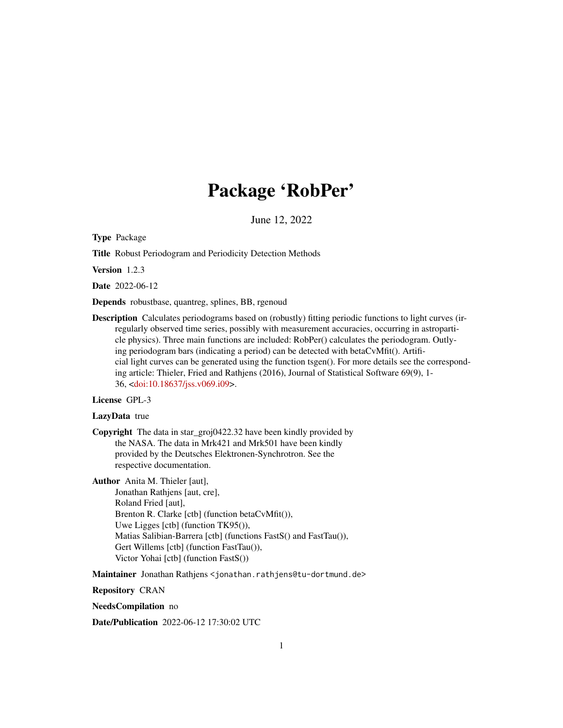# Package 'RobPer'

June 12, 2022

Type Package

Title Robust Periodogram and Periodicity Detection Methods

Version 1.2.3

Date 2022-06-12

Depends robustbase, quantreg, splines, BB, rgenoud

Description Calculates periodograms based on (robustly) fitting periodic functions to light curves (irregularly observed time series, possibly with measurement accuracies, occurring in astroparticle physics). Three main functions are included: RobPer() calculates the periodogram. Outlying periodogram bars (indicating a period) can be detected with betaCvMfit(). Artificial light curves can be generated using the function tsgen(). For more details see the corresponding article: Thieler, Fried and Rathjens (2016), Journal of Statistical Software 69(9), 1- 36, [<doi:10.18637/jss.v069.i09>](https://doi.org/10.18637/jss.v069.i09).

# License GPL-3

#### LazyData true

Copyright The data in star\_groj0422.32 have been kindly provided by the NASA. The data in Mrk421 and Mrk501 have been kindly provided by the Deutsches Elektronen-Synchrotron. See the respective documentation.

Author Anita M. Thieler [aut],

Jonathan Rathjens [aut, cre], Roland Fried [aut], Brenton R. Clarke [ctb] (function betaCvMfit()), Uwe Ligges [ctb] (function TK95()), Matias Salibian-Barrera [ctb] (functions FastS() and FastTau()), Gert Willems [ctb] (function FastTau()), Victor Yohai [ctb] (function FastS())

Maintainer Jonathan Rathjens < jonathan.rathjens@tu-dortmund.de>

Repository CRAN

NeedsCompilation no

Date/Publication 2022-06-12 17:30:02 UTC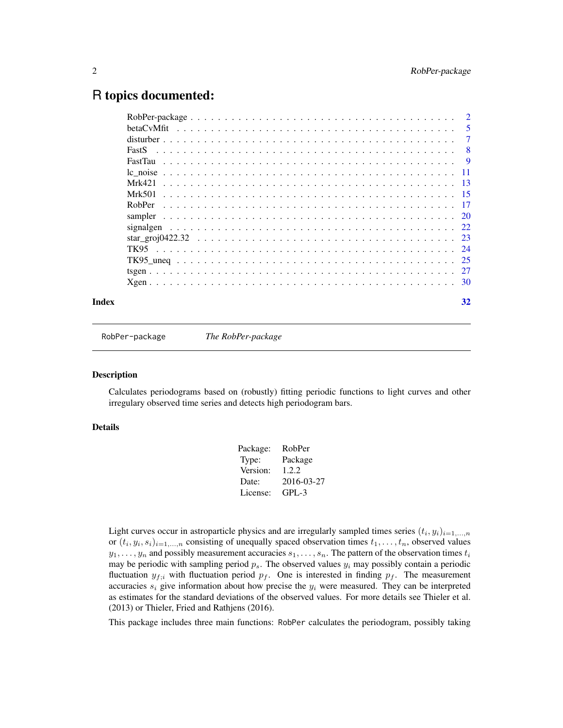# <span id="page-1-0"></span>R topics documented:

| Index | 32             |
|-------|----------------|
|       |                |
|       |                |
|       |                |
|       |                |
|       |                |
|       |                |
|       |                |
|       |                |
|       |                |
|       |                |
|       |                |
|       |                |
|       |                |
|       | $\overline{7}$ |
|       |                |
|       |                |

<span id="page-1-1"></span>RobPer-package *The RobPer-package*

# **Description**

Calculates periodograms based on (robustly) fitting periodic functions to light curves and other irregulary observed time series and detects high periodogram bars.

# Details

| Package: | RobPer     |
|----------|------------|
| Type:    | Package    |
| Version: | 1.2.2      |
| Date:    | 2016-03-27 |
| License: | $GPI - 3$  |
|          |            |

Light curves occur in astroparticle physics and are irregularly sampled times series  $(t_i, y_i)_{i=1,\dots,n}$ or  $(t_i, y_i, s_i)_{i=1,\dots,n}$  consisting of unequally spaced observation times  $t_1, \dots, t_n$ , observed values  $y_1, \ldots, y_n$  and possibly measurement accuracies  $s_1, \ldots, s_n$ . The pattern of the observation times  $t_i$ may be periodic with sampling period  $p_s$ . The observed values  $y_i$  may possibly contain a periodic fluctuation  $y_{f,i}$  with fluctuation period  $p_f$ . One is interested in finding  $p_f$ . The measurement accuracies  $s_i$  give information about how precise the  $y_i$  were measured. They can be interpreted as estimates for the standard deviations of the observed values. For more details see Thieler et al. (2013) or Thieler, Fried and Rathjens (2016).

This package includes three main functions: RobPer calculates the periodogram, possibly taking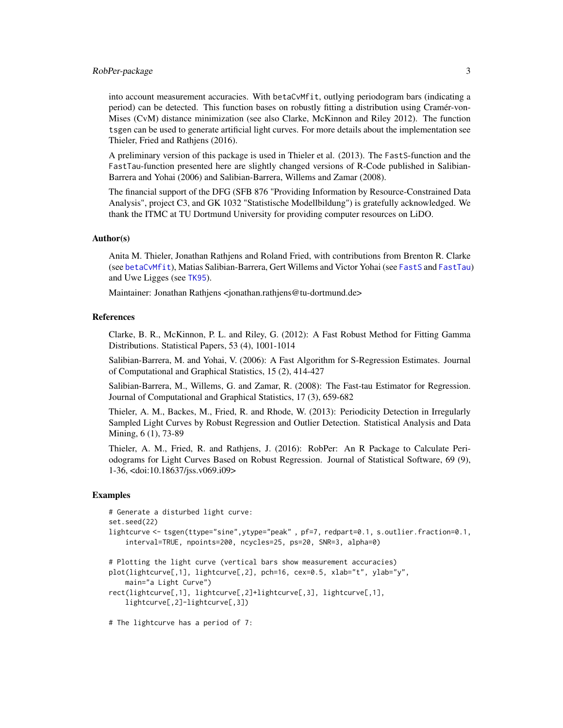#### <span id="page-2-0"></span>RobPer-package 3

into account measurement accuracies. With betaCvMfit, outlying periodogram bars (indicating a period) can be detected. This function bases on robustly fitting a distribution using Cramér-von-Mises (CvM) distance minimization (see also Clarke, McKinnon and Riley 2012). The function tsgen can be used to generate artificial light curves. For more details about the implementation see Thieler, Fried and Rathjens (2016).

A preliminary version of this package is used in Thieler et al. (2013). The FastS-function and the FastTau-function presented here are slightly changed versions of R-Code published in Salibian-Barrera and Yohai (2006) and Salibian-Barrera, Willems and Zamar (2008).

The financial support of the DFG (SFB 876 "Providing Information by Resource-Constrained Data Analysis", project C3, and GK 1032 "Statistische Modellbildung") is gratefully acknowledged. We thank the ITMC at TU Dortmund University for providing computer resources on LiDO.

#### Author(s)

Anita M. Thieler, Jonathan Rathjens and Roland Fried, with contributions from Brenton R. Clarke (see [betaCvMfit](#page-4-1)), Matias Salibian-Barrera, Gert Willems and Victor Yohai (see [FastS](#page-7-1) and [FastTau](#page-8-1)) and Uwe Ligges (see [TK95](#page-23-1)).

Maintainer: Jonathan Rathjens <jonathan.rathjens@tu-dortmund.de>

#### References

Clarke, B. R., McKinnon, P. L. and Riley, G. (2012): A Fast Robust Method for Fitting Gamma Distributions. Statistical Papers, 53 (4), 1001-1014

Salibian-Barrera, M. and Yohai, V. (2006): A Fast Algorithm for S-Regression Estimates. Journal of Computational and Graphical Statistics, 15 (2), 414-427

Salibian-Barrera, M., Willems, G. and Zamar, R. (2008): The Fast-tau Estimator for Regression. Journal of Computational and Graphical Statistics, 17 (3), 659-682

Thieler, A. M., Backes, M., Fried, R. and Rhode, W. (2013): Periodicity Detection in Irregularly Sampled Light Curves by Robust Regression and Outlier Detection. Statistical Analysis and Data Mining, 6 (1), 73-89

Thieler, A. M., Fried, R. and Rathjens, J. (2016): RobPer: An R Package to Calculate Periodograms for Light Curves Based on Robust Regression. Journal of Statistical Software, 69 (9), 1-36, <doi:10.18637/jss.v069.i09>

#### Examples

```
# Generate a disturbed light curve:
set.seed(22)
lightcurve <- tsgen(ttype="sine",ytype="peak" , pf=7, redpart=0.1, s.outlier.fraction=0.1,
    interval=TRUE, npoints=200, ncycles=25, ps=20, SNR=3, alpha=0)
# Plotting the light curve (vertical bars show measurement accuracies)
plot(lightcurve[,1], lightcurve[,2], pch=16, cex=0.5, xlab="t", ylab="y",
    main="a Light Curve")
rect(lightcurve[,1], lightcurve[,2]+lightcurve[,3], lightcurve[,1],
   lightcurve[,2]-lightcurve[,3])
# The lightcurve has a period of 7:
```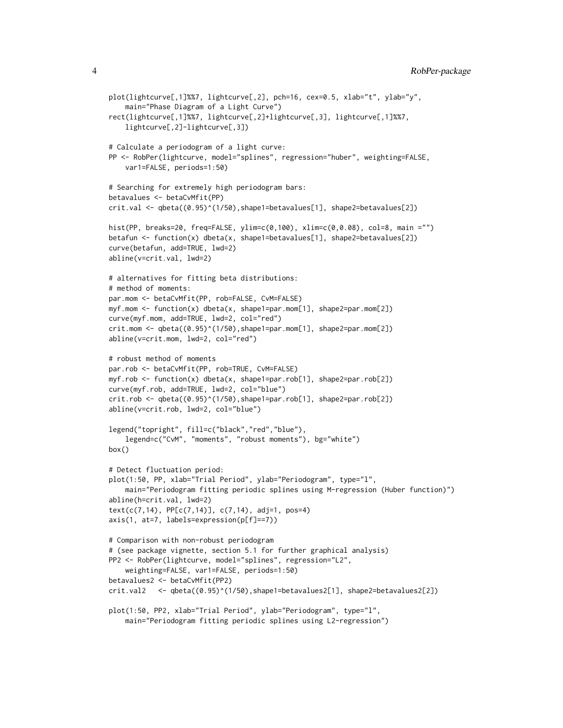```
plot(lightcurve[,1]%%7, lightcurve[,2], pch=16, cex=0.5, xlab="t", ylab="y",
    main="Phase Diagram of a Light Curve")
rect(lightcurve[,1]%%7, lightcurve[,2]+lightcurve[,3], lightcurve[,1]%%7,
    lightcurve[,2]-lightcurve[,3])
# Calculate a periodogram of a light curve:
PP <- RobPer(lightcurve, model="splines", regression="huber", weighting=FALSE,
    var1=FALSE, periods=1:50)
# Searching for extremely high periodogram bars:
betavalues <- betaCvMfit(PP)
crit.val <- qbeta((0.95)^(1/50),shape1=betavalues[1], shape2=betavalues[2])
hist(PP, breaks=20, freq=FALSE, ylim=c(0,100), xlim=c(0,0.08), col=8, main ="")
betafun <- function(x) dbeta(x, shape1=betavalues[1], shape2=betavalues[2])
curve(betafun, add=TRUE, lwd=2)
abline(v=crit.val, lwd=2)
# alternatives for fitting beta distributions:
# method of moments:
par.mom <- betaCvMfit(PP, rob=FALSE, CvM=FALSE)
myf.mom <- function(x) dbeta(x, shape1=par.mom[1], shape2=par.mom[2])
curve(myf.mom, add=TRUE, lwd=2, col="red")
crit.mom <- qbeta((0.95)^(1/50),shape1=par.mom[1], shape2=par.mom[2])
abline(v=crit.mom, lwd=2, col="red")
# robust method of moments
par.rob <- betaCvMfit(PP, rob=TRUE, CvM=FALSE)
myf.rob <- function(x) dbeta(x, shape1=par.rob[1], shape2=par.rob[2])
curve(myf.rob, add=TRUE, lwd=2, col="blue")
crit.rob <- qbeta((0.95)^(1/50),shape1=par.rob[1], shape2=par.rob[2])
abline(v=crit.rob, lwd=2, col="blue")
legend("topright", fill=c("black","red","blue"),
    legend=c("CvM", "moments", "robust moments"), bg="white")
box()
# Detect fluctuation period:
plot(1:50, PP, xlab="Trial Period", ylab="Periodogram", type="l",
    main="Periodogram fitting periodic splines using M-regression (Huber function)")
abline(h=crit.val, lwd=2)
text(c(7,14), PP[c(7,14)], c(7,14), adj=1, pos=4)
axis(1, at=7, labels=expression(p[f]==7))
# Comparison with non-robust periodogram
# (see package vignette, section 5.1 for further graphical analysis)
PP2 <- RobPer(lightcurve, model="splines", regression="L2",
    weighting=FALSE, var1=FALSE, periods=1:50)
betavalues2 <- betaCvMfit(PP2)
crit.val2 <- qbeta((0.95)^(1/50),shape1=betavalues2[1], shape2=betavalues2[2])
plot(1:50, PP2, xlab="Trial Period", ylab="Periodogram", type="l",
    main="Periodogram fitting periodic splines using L2-regression")
```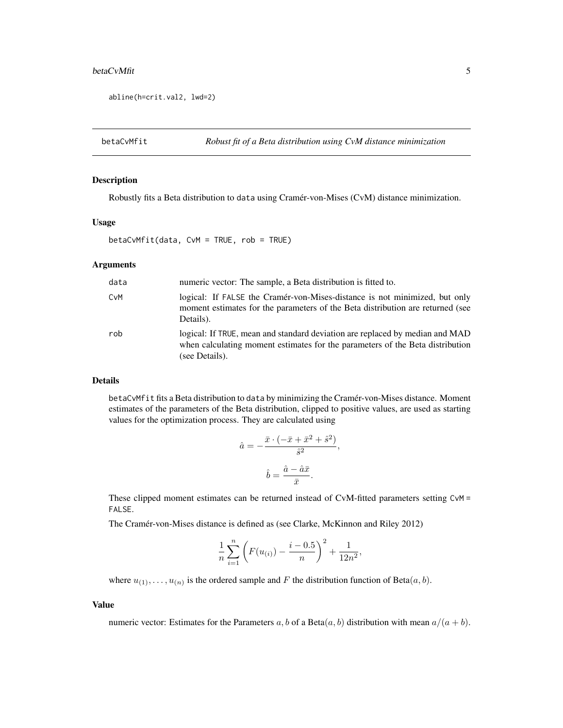#### <span id="page-4-0"></span>betaCvMfit 5

```
abline(h=crit.val2, lwd=2)
```
<span id="page-4-1"></span>betaCvMfit *Robust fit of a Beta distribution using CvM distance minimization*

### Description

Robustly fits a Beta distribution to data using Cramér-von-Mises (CvM) distance minimization.

# Usage

betaCvMfit(data, CvM = TRUE, rob = TRUE)

#### Arguments

| data | numeric vector: The sample, a Beta distribution is fitted to.                                                                                                                   |
|------|---------------------------------------------------------------------------------------------------------------------------------------------------------------------------------|
| CvM  | logical: If FALSE the Cramér-von-Mises-distance is not minimized, but only<br>moment estimates for the parameters of the Beta distribution are returned (see<br>Details).       |
| rob  | logical: If TRUE, mean and standard deviation are replaced by median and MAD<br>when calculating moment estimates for the parameters of the Beta distribution<br>(see Details). |

#### Details

betaCvMfit fits a Beta distribution to data by minimizing the Cramér-von-Mises distance. Moment estimates of the parameters of the Beta distribution, clipped to positive values, are used as starting values for the optimization process. They are calculated using

$$
\hat{a} = -\frac{\bar{x} \cdot (-\bar{x} + \bar{x}^2 + \hat{s}^2)}{\hat{s}^2},
$$

$$
\hat{b} = \frac{\hat{a} - \hat{a}\bar{x}}{\bar{x}}.
$$

These clipped moment estimates can be returned instead of CvM-fitted parameters setting CvM = FALSE.

The Cramér-von-Mises distance is defined as (see Clarke, McKinnon and Riley 2012)

$$
\frac{1}{n}\sum_{i=1}^{n} \left( F(u_{(i)}) - \frac{i-0.5}{n} \right)^2 + \frac{1}{12n^2},
$$

where  $u_{(1)}, \ldots, u_{(n)}$  is the ordered sample and F the distribution function of Beta $(a, b)$ .

# Value

numeric vector: Estimates for the Parameters a, b of a Beta $(a, b)$  distribution with mean  $a/(a + b)$ .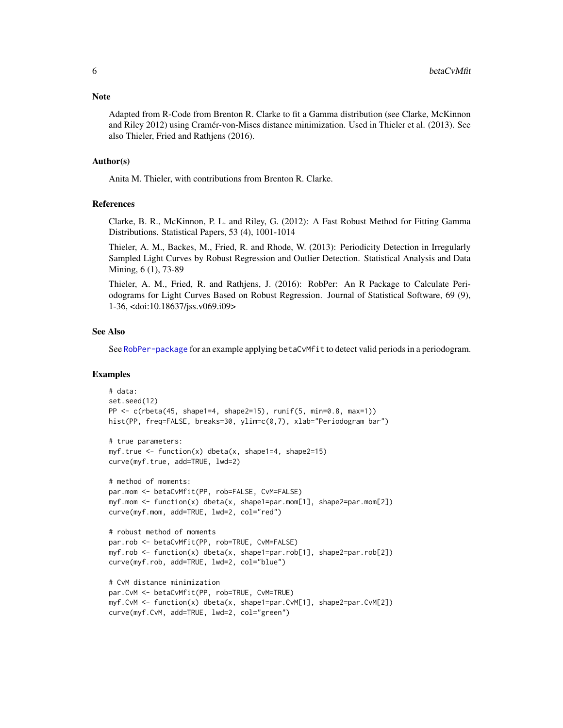Adapted from R-Code from Brenton R. Clarke to fit a Gamma distribution (see Clarke, McKinnon and Riley 2012) using Cramér-von-Mises distance minimization. Used in Thieler et al. (2013). See also Thieler, Fried and Rathjens (2016).

#### Author(s)

Anita M. Thieler, with contributions from Brenton R. Clarke.

#### References

Clarke, B. R., McKinnon, P. L. and Riley, G. (2012): A Fast Robust Method for Fitting Gamma Distributions. Statistical Papers, 53 (4), 1001-1014

Thieler, A. M., Backes, M., Fried, R. and Rhode, W. (2013): Periodicity Detection in Irregularly Sampled Light Curves by Robust Regression and Outlier Detection. Statistical Analysis and Data Mining, 6 (1), 73-89

Thieler, A. M., Fried, R. and Rathjens, J. (2016): RobPer: An R Package to Calculate Periodograms for Light Curves Based on Robust Regression. Journal of Statistical Software, 69 (9), 1-36, <doi:10.18637/jss.v069.i09>

#### See Also

See [RobPer-package](#page-1-1) for an example applying betaCvMfit to detect valid periods in a periodogram.

# Examples

```
# data:
set.seed(12)
PP \leq c(rbeta(45, shape1=4, shape2=15), runif(5, min=0.8, max=1))
hist(PP, freq=FALSE, breaks=30, ylim=c(0,7), xlab="Periodogram bar")
# true parameters:
myf.true \le function(x) dbeta(x, shape1=4, shape2=15)
curve(myf.true, add=TRUE, lwd=2)
# method of moments:
par.mom <- betaCvMfit(PP, rob=FALSE, CvM=FALSE)
myf.mom <- function(x) dbeta(x, shape1=par.mom[1], shape2=par.mom[2])
curve(myf.mom, add=TRUE, lwd=2, col="red")
# robust method of moments
par.rob <- betaCvMfit(PP, rob=TRUE, CvM=FALSE)
myf.rob <- function(x) dbeta(x, shape1=par.rob[1], shape2=par.rob[2])
curve(myf.rob, add=TRUE, lwd=2, col="blue")
# CvM distance minimization
par.CvM <- betaCvMfit(PP, rob=TRUE, CvM=TRUE)
myf.CvM <- function(x) dbeta(x, shape1=par.CvM[1], shape2=par.CvM[2])
curve(myf.CvM, add=TRUE, lwd=2, col="green")
```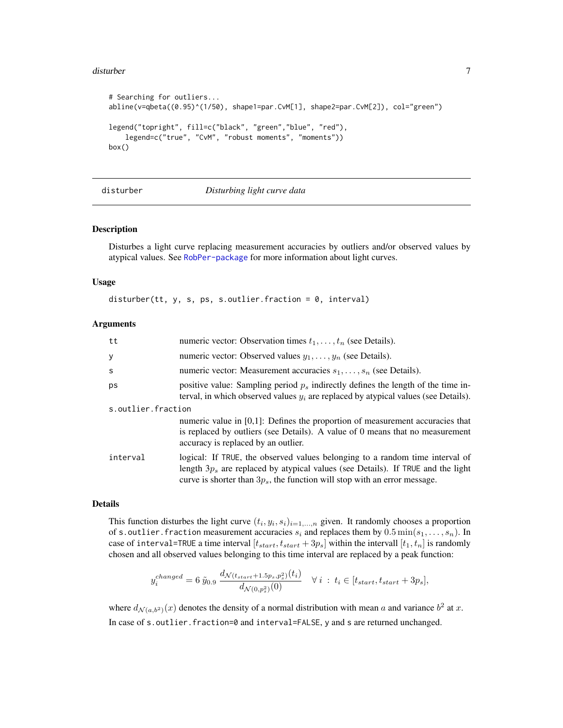#### <span id="page-6-0"></span>disturber 7

```
# Searching for outliers...
abline(v=qbeta((0.95)^(1/50), shape1=par.CvM[1], shape2=par.CvM[2]), col="green")
legend("topright", fill=c("black", "green","blue", "red"),
   legend=c("true", "CvM", "robust moments", "moments"))
box()
```
#### disturber *Disturbing light curve data*

#### Description

Disturbes a light curve replacing measurement accuracies by outliers and/or observed values by atypical values. See [RobPer-package](#page-1-1) for more information about light curves.

#### Usage

disturber(tt, y, s, ps, s.outlier. fraction =  $0$ , interval)

#### Arguments

| tt                 | numeric vector: Observation times $t_1, \ldots, t_n$ (see Details).                                                                                                                                                                                |
|--------------------|----------------------------------------------------------------------------------------------------------------------------------------------------------------------------------------------------------------------------------------------------|
| У                  | numeric vector: Observed values $y_1, \ldots, y_n$ (see Details).                                                                                                                                                                                  |
| S                  | numeric vector: Measurement accuracies $s_1, \ldots, s_n$ (see Details).                                                                                                                                                                           |
| ps                 | positive value: Sampling period $p_s$ indirectly defines the length of the time in-<br>terval, in which observed values $y_i$ are replaced by atypical values (see Details).                                                                       |
| s.outlier.fraction |                                                                                                                                                                                                                                                    |
|                    | numeric value in $[0,1]$ : Defines the proportion of measurement accuracies that<br>is replaced by outliers (see Details). A value of 0 means that no measurement<br>accuracy is replaced by an outlier.                                           |
| interval           | logical: If TRUE, the observed values belonging to a random time interval of<br>length $3p_s$ are replaced by atypical values (see Details). If TRUE and the light<br>curve is shorter than $3p_s$ , the function will stop with an error message. |

#### Details

This function disturbes the light curve  $(t_i, y_i, s_i)_{i=1,\dots,n}$  given. It randomly chooses a proportion of s. outlier. fraction measurement accuracies  $s_i$  and replaces them by  $0.5 \min(s_1, \ldots, s_n)$ . In case of interval=TRUE a time interval  $[t_{start}, t_{start} + 3p_s]$  within the intervall  $[t_1, t_n]$  is randomly chosen and all observed values belonging to this time interval are replaced by a peak function:

$$
y_i^{changed} = 6 \tilde{y}_{0.9} \frac{d_{\mathcal{N}(t_{start}+1.5p_s,p_s^2)}(t_i)}{d_{\mathcal{N}(0,p_s^2)}(0)} \quad \forall i : t_i \in [t_{start}, t_{start}+3p_s],
$$

 $\sqrt{t}$ 

where  $d_{\mathcal{N}(a,b^2)}(x)$  denotes the density of a normal distribution with mean a and variance  $b^2$  at x. In case of s.outlier.fraction=0 and interval=FALSE, y and s are returned unchanged.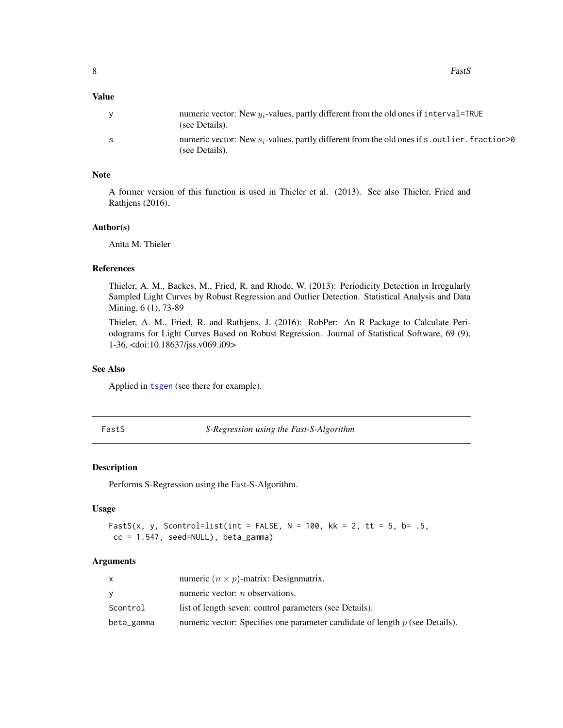<span id="page-7-0"></span>8 and 2012 and 2012 and 2012 and 2012 and 2012 and 2012 and 2012 and 2012 and 2012 and 2012 and 2012 and 2012 and 2012 and 2012 and 2012 and 2012 and 2012 and 2012 and 2012 and 2012 and 2012 and 2012 and 2012 and 2012 and

# Value

|   | numeric vector: New $y_i$ -values, partly different from the old ones if interval=TRUE<br>(see Details).           |
|---|--------------------------------------------------------------------------------------------------------------------|
| S | numeric vector: New $s_i$ -values, partly different from the old ones if s, outlier, fraction >0<br>(see Details). |

#### Note

A former version of this function is used in Thieler et al. (2013). See also Thieler, Fried and Rathjens (2016).

#### Author(s)

Anita M. Thieler

# References

Thieler, A. M., Backes, M., Fried, R. and Rhode, W. (2013): Periodicity Detection in Irregularly Sampled Light Curves by Robust Regression and Outlier Detection. Statistical Analysis and Data Mining, 6 (1), 73-89

Thieler, A. M., Fried, R. and Rathjens, J. (2016): RobPer: An R Package to Calculate Periodograms for Light Curves Based on Robust Regression. Journal of Statistical Software, 69 (9), 1-36, <doi:10.18637/jss.v069.i09>

#### See Also

Applied in [tsgen](#page-26-1) (see there for example).

<span id="page-7-1"></span>FastS *S-Regression using the Fast-S-Algorithm*

#### Description

Performs S-Regression using the Fast-S-Algorithm.

#### Usage

```
FastS(x, y, Scontrol=list(int = FALSE, N = 100, kk = 2, tt = 5, b= .5,
cc = 1.547, seed=NULL), beta_gamma)
```
# Arguments

|            | numeric $(n \times p)$ -matrix: Designmatrix.                                  |
|------------|--------------------------------------------------------------------------------|
| v          | numeric vector: $n$ observations.                                              |
| Scontrol   | list of length seven: control parameters (see Details).                        |
| beta_gamma | numeric vector: Specifies one parameter candidate of length $p$ (see Details). |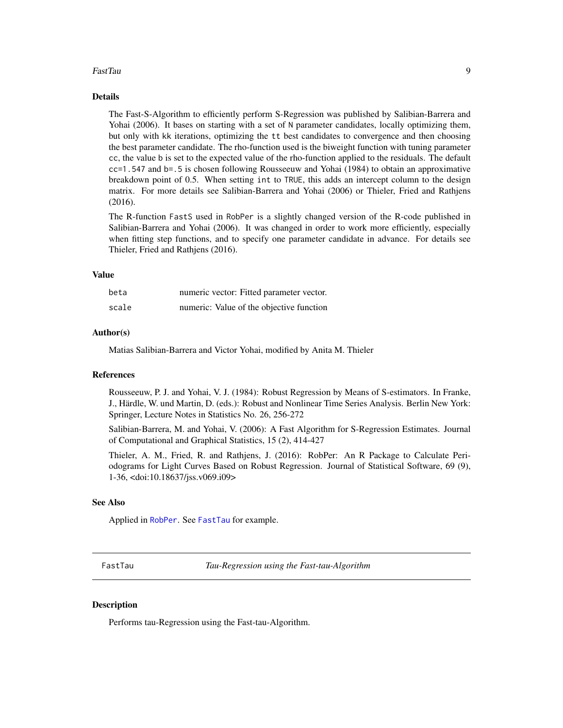#### <span id="page-8-0"></span>FastTau 9

#### Details

The Fast-S-Algorithm to efficiently perform S-Regression was published by Salibian-Barrera and Yohai (2006). It bases on starting with a set of N parameter candidates, locally optimizing them, but only with kk iterations, optimizing the tt best candidates to convergence and then choosing the best parameter candidate. The rho-function used is the biweight function with tuning parameter cc, the value b is set to the expected value of the rho-function applied to the residuals. The default cc=1.547 and b=.5 is chosen following Rousseeuw and Yohai (1984) to obtain an approximative breakdown point of 0.5. When setting int to TRUE, this adds an intercept column to the design matrix. For more details see Salibian-Barrera and Yohai (2006) or Thieler, Fried and Rathjens (2016).

The R-function FastS used in RobPer is a slightly changed version of the R-code published in Salibian-Barrera and Yohai (2006). It was changed in order to work more efficiently, especially when fitting step functions, and to specify one parameter candidate in advance. For details see Thieler, Fried and Rathjens (2016).

#### Value

| beta  | numeric vector: Fitted parameter vector. |
|-------|------------------------------------------|
| scale | numeric: Value of the objective function |

#### Author(s)

Matias Salibian-Barrera and Victor Yohai, modified by Anita M. Thieler

### References

Rousseeuw, P. J. and Yohai, V. J. (1984): Robust Regression by Means of S-estimators. In Franke, J., Härdle, W. und Martin, D. (eds.): Robust and Nonlinear Time Series Analysis. Berlin New York: Springer, Lecture Notes in Statistics No. 26, 256-272

Salibian-Barrera, M. and Yohai, V. (2006): A Fast Algorithm for S-Regression Estimates. Journal of Computational and Graphical Statistics, 15 (2), 414-427

Thieler, A. M., Fried, R. and Rathjens, J. (2016): RobPer: An R Package to Calculate Periodograms for Light Curves Based on Robust Regression. Journal of Statistical Software, 69 (9), 1-36, <doi:10.18637/jss.v069.i09>

#### See Also

Applied in [RobPer](#page-16-1). See [FastTau](#page-8-1) for example.

<span id="page-8-1"></span>FastTau *Tau-Regression using the Fast-tau-Algorithm*

# **Description**

Performs tau-Regression using the Fast-tau-Algorithm.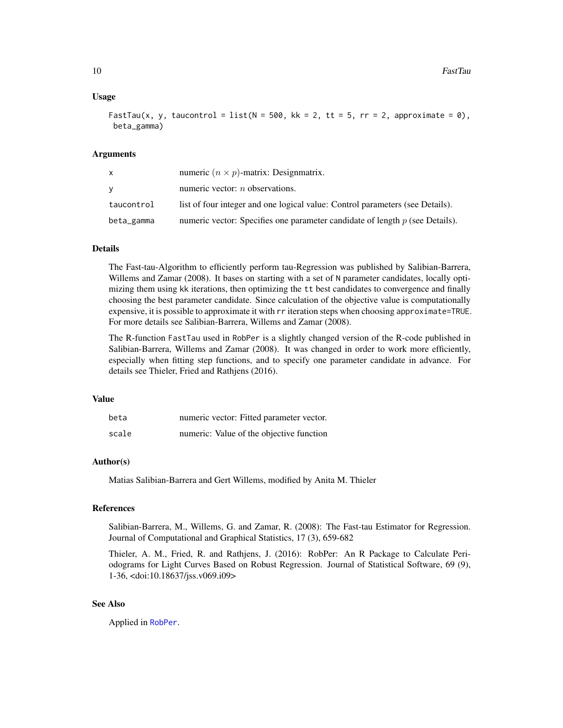#### <span id="page-9-0"></span>Usage

FastTau(x, y, taucontrol = list(N = 500, kk = 2, tt = 5, rr = 2, approximate = 0), beta\_gamma)

#### Arguments

| X          | numeric $(n \times p)$ -matrix: Designmatrix.                                  |
|------------|--------------------------------------------------------------------------------|
| v          | numeric vector: $n$ observations.                                              |
| taucontrol | list of four integer and one logical value: Control parameters (see Details).  |
| beta_gamma | numeric vector: Specifies one parameter candidate of length $p$ (see Details). |

# Details

The Fast-tau-Algorithm to efficiently perform tau-Regression was published by Salibian-Barrera, Willems and Zamar (2008). It bases on starting with a set of N parameter candidates, locally optimizing them using kk iterations, then optimizing the tt best candidates to convergence and finally choosing the best parameter candidate. Since calculation of the objective value is computationally expensive, it is possible to approximate it with rr iteration steps when choosing approximate=TRUE. For more details see Salibian-Barrera, Willems and Zamar (2008).

The R-function FastTau used in RobPer is a slightly changed version of the R-code published in Salibian-Barrera, Willems and Zamar (2008). It was changed in order to work more efficiently, especially when fitting step functions, and to specify one parameter candidate in advance. For details see Thieler, Fried and Rathjens (2016).

# Value

| beta  | numeric vector: Fitted parameter vector. |
|-------|------------------------------------------|
| scale | numeric: Value of the objective function |

#### Author(s)

Matias Salibian-Barrera and Gert Willems, modified by Anita M. Thieler

#### References

Salibian-Barrera, M., Willems, G. and Zamar, R. (2008): The Fast-tau Estimator for Regression. Journal of Computational and Graphical Statistics, 17 (3), 659-682

Thieler, A. M., Fried, R. and Rathjens, J. (2016): RobPer: An R Package to Calculate Periodograms for Light Curves Based on Robust Regression. Journal of Statistical Software, 69 (9), 1-36, <doi:10.18637/jss.v069.i09>

# See Also

Applied in [RobPer](#page-16-1).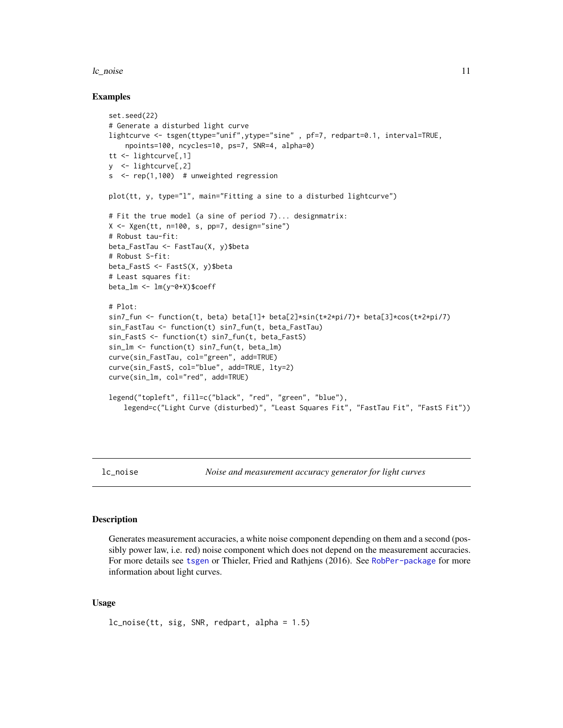#### <span id="page-10-0"></span> $l$ c\_noise  $l$  11

#### Examples

```
set.seed(22)
# Generate a disturbed light curve
lightcurve <- tsgen(ttype="unif",ytype="sine" , pf=7, redpart=0.1, interval=TRUE,
    npoints=100, ncycles=10, ps=7, SNR=4, alpha=0)
tt <- lightcurve[,1]
y <- lightcurve[,2]
s \le rep(1,100) # unweighted regression
plot(tt, y, type="l", main="Fitting a sine to a disturbed lightcurve")
# Fit the true model (a sine of period 7)... designmatrix:
X <- Xgen(tt, n=100, s, pp=7, design="sine")
# Robust tau-fit:
beta_FastTau <- FastTau(X, y)$beta
# Robust S-fit:
beta_FastS <- FastS(X, y)$beta
# Least squares fit:
beta_lm <- lm(y~0+X)$coeff
# Plot:
sin7_fun <- function(t, beta) beta[1]+ beta[2]*sin(t*2*pi/7)+ beta[3]*cos(t*2*pi/7)
sin_FastTau <- function(t) sin7_fun(t, beta_FastTau)
sin_FastS <- function(t) sin7_fun(t, beta_FastS)
sin_lm <- function(t) sin7_fun(t, beta_lm)
curve(sin_FastTau, col="green", add=TRUE)
curve(sin_FastS, col="blue", add=TRUE, lty=2)
curve(sin_lm, col="red", add=TRUE)
legend("topleft", fill=c("black", "red", "green", "blue"),
   legend=c("Light Curve (disturbed)", "Least Squares Fit", "FastTau Fit", "FastS Fit"))
```
<span id="page-10-1"></span>

lc\_noise *Noise and measurement accuracy generator for light curves*

#### Description

Generates measurement accuracies, a white noise component depending on them and a second (possibly power law, i.e. red) noise component which does not depend on the measurement accuracies. For more details see [tsgen](#page-26-1) or Thieler, Fried and Rathjens (2016). See [RobPer-package](#page-1-1) for more information about light curves.

# Usage

lc\_noise(tt, sig, SNR, redpart, alpha = 1.5)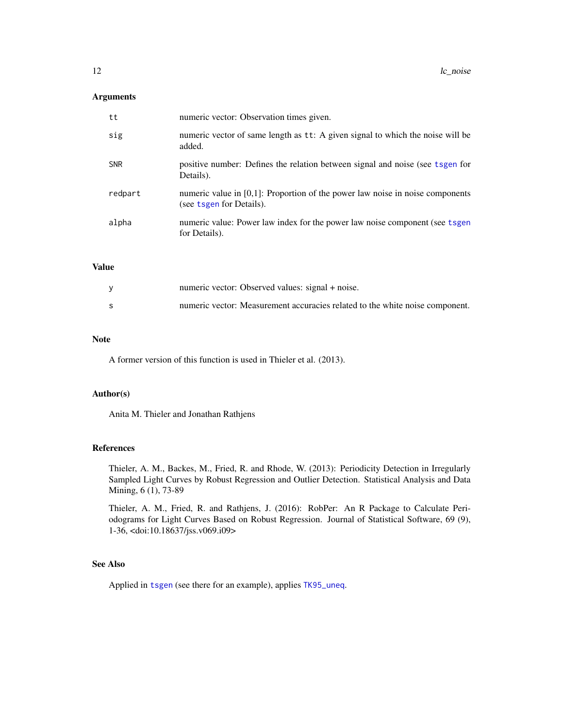# <span id="page-11-0"></span>Arguments

| tt         | numeric vector: Observation times given.                                                                     |
|------------|--------------------------------------------------------------------------------------------------------------|
| sig        | numeric vector of same length as tt: A given signal to which the noise will be<br>added.                     |
| <b>SNR</b> | positive number: Defines the relation between signal and noise (see tsgen for<br>Details).                   |
| redpart    | numeric value in $[0,1]$ : Proportion of the power law noise in noise components<br>(see tsgen for Details). |
| alpha      | numeric value: Power law index for the power law noise component (see tsgen<br>for Details).                 |

# Value

| numeric vector: Observed values: signal + noise.                             |
|------------------------------------------------------------------------------|
| numeric vector: Measurement accuracies related to the white noise component. |

# Note

A former version of this function is used in Thieler et al. (2013).

# Author(s)

Anita M. Thieler and Jonathan Rathjens

# References

Thieler, A. M., Backes, M., Fried, R. and Rhode, W. (2013): Periodicity Detection in Irregularly Sampled Light Curves by Robust Regression and Outlier Detection. Statistical Analysis and Data Mining, 6 (1), 73-89

Thieler, A. M., Fried, R. and Rathjens, J. (2016): RobPer: An R Package to Calculate Periodograms for Light Curves Based on Robust Regression. Journal of Statistical Software, 69 (9), 1-36, <doi:10.18637/jss.v069.i09>

# See Also

Applied in [tsgen](#page-26-1) (see there for an example), applies [TK95\\_uneq](#page-24-1).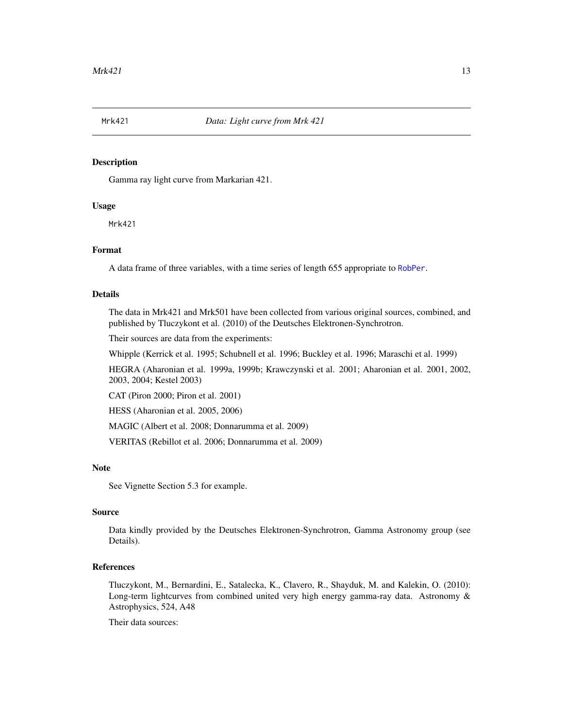<span id="page-12-0"></span>

# **Description**

Gamma ray light curve from Markarian 421.

#### Usage

Mrk421

# Format

A data frame of three variables, with a time series of length 655 appropriate to [RobPer](#page-16-1).

# Details

The data in Mrk421 and Mrk501 have been collected from various original sources, combined, and published by Tluczykont et al. (2010) of the Deutsches Elektronen-Synchrotron.

Their sources are data from the experiments:

Whipple (Kerrick et al. 1995; Schubnell et al. 1996; Buckley et al. 1996; Maraschi et al. 1999)

HEGRA (Aharonian et al. 1999a, 1999b; Krawczynski et al. 2001; Aharonian et al. 2001, 2002, 2003, 2004; Kestel 2003)

CAT (Piron 2000; Piron et al. 2001)

HESS (Aharonian et al. 2005, 2006)

MAGIC (Albert et al. 2008; Donnarumma et al. 2009)

VERITAS (Rebillot et al. 2006; Donnarumma et al. 2009)

#### Note

See Vignette Section 5.3 for example.

# Source

Data kindly provided by the Deutsches Elektronen-Synchrotron, Gamma Astronomy group (see Details).

### References

Tluczykont, M., Bernardini, E., Satalecka, K., Clavero, R., Shayduk, M. and Kalekin, O. (2010): Long-term lightcurves from combined united very high energy gamma-ray data. Astronomy & Astrophysics, 524, A48

Their data sources: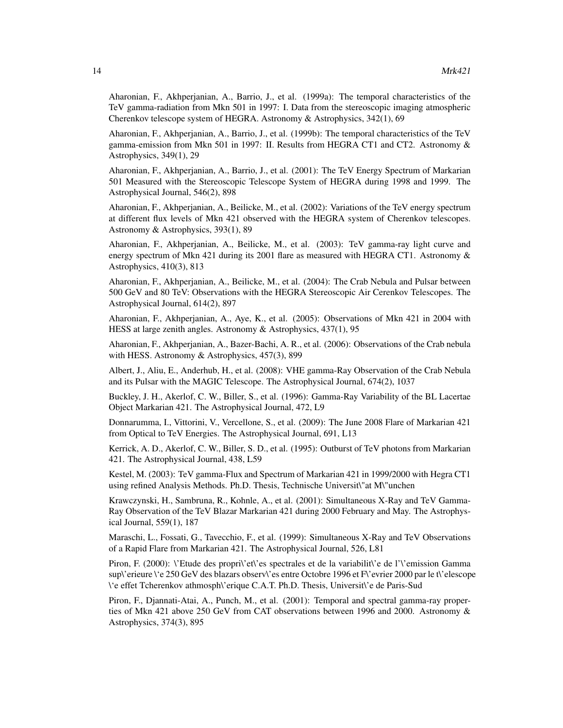Aharonian, F., Akhperjanian, A., Barrio, J., et al. (1999a): The temporal characteristics of the TeV gamma-radiation from Mkn 501 in 1997: I. Data from the stereoscopic imaging atmospheric Cherenkov telescope system of HEGRA. Astronomy & Astrophysics, 342(1), 69

Aharonian, F., Akhperjanian, A., Barrio, J., et al. (1999b): The temporal characteristics of the TeV gamma-emission from Mkn 501 in 1997: II. Results from HEGRA CT1 and CT2. Astronomy & Astrophysics, 349(1), 29

Aharonian, F., Akhperjanian, A., Barrio, J., et al. (2001): The TeV Energy Spectrum of Markarian 501 Measured with the Stereoscopic Telescope System of HEGRA during 1998 and 1999. The Astrophysical Journal, 546(2), 898

Aharonian, F., Akhperjanian, A., Beilicke, M., et al. (2002): Variations of the TeV energy spectrum at different flux levels of Mkn 421 observed with the HEGRA system of Cherenkov telescopes. Astronomy & Astrophysics, 393(1), 89

Aharonian, F., Akhperjanian, A., Beilicke, M., et al. (2003): TeV gamma-ray light curve and energy spectrum of Mkn 421 during its 2001 flare as measured with HEGRA CT1. Astronomy & Astrophysics, 410(3), 813

Aharonian, F., Akhperjanian, A., Beilicke, M., et al. (2004): The Crab Nebula and Pulsar between 500 GeV and 80 TeV: Observations with the HEGRA Stereoscopic Air Cerenkov Telescopes. The Astrophysical Journal, 614(2), 897

Aharonian, F., Akhperjanian, A., Aye, K., et al. (2005): Observations of Mkn 421 in 2004 with HESS at large zenith angles. Astronomy & Astrophysics, 437(1), 95

Aharonian, F., Akhperjanian, A., Bazer-Bachi, A. R., et al. (2006): Observations of the Crab nebula with HESS. Astronomy & Astrophysics, 457(3), 899

Albert, J., Aliu, E., Anderhub, H., et al. (2008): VHE gamma-Ray Observation of the Crab Nebula and its Pulsar with the MAGIC Telescope. The Astrophysical Journal, 674(2), 1037

Buckley, J. H., Akerlof, C. W., Biller, S., et al. (1996): Gamma-Ray Variability of the BL Lacertae Object Markarian 421. The Astrophysical Journal, 472, L9

Donnarumma, I., Vittorini, V., Vercellone, S., et al. (2009): The June 2008 Flare of Markarian 421 from Optical to TeV Energies. The Astrophysical Journal, 691, L13

Kerrick, A. D., Akerlof, C. W., Biller, S. D., et al. (1995): Outburst of TeV photons from Markarian 421. The Astrophysical Journal, 438, L59

Kestel, M. (2003): TeV gamma-Flux and Spectrum of Markarian 421 in 1999/2000 with Hegra CT1 using refined Analysis Methods. Ph.D. Thesis, Technische Universit\"at M\"unchen

Krawczynski, H., Sambruna, R., Kohnle, A., et al. (2001): Simultaneous X-Ray and TeV Gamma-Ray Observation of the TeV Blazar Markarian 421 during 2000 February and May. The Astrophysical Journal, 559(1), 187

Maraschi, L., Fossati, G., Tavecchio, F., et al. (1999): Simultaneous X-Ray and TeV Observations of a Rapid Flare from Markarian 421. The Astrophysical Journal, 526, L81

Piron, F. (2000): \'Etude des propri\'et\'es spectrales et de la variabilit\'e de l'\'emission Gamma sup\'erieure \'e 250 GeV des blazars observ\'es entre Octobre 1996 et F\'evrier 2000 par le t\'elescope \'e effet Tcherenkov athmosph\'erique C.A.T. Ph.D. Thesis, Universit\'e de Paris-Sud

Piron, F., Djannati-Atai, A., Punch, M., et al. (2001): Temporal and spectral gamma-ray properties of Mkn 421 above 250 GeV from CAT observations between 1996 and 2000. Astronomy & Astrophysics, 374(3), 895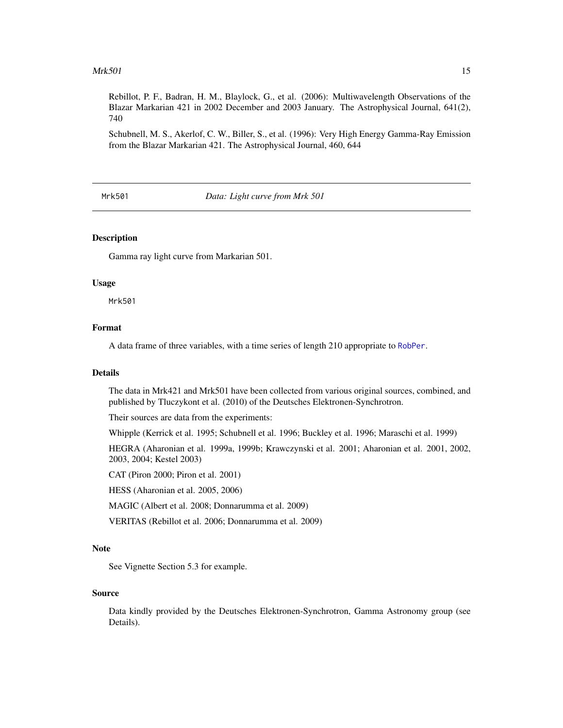#### <span id="page-14-0"></span> $Mrk501$  15

Rebillot, P. F., Badran, H. M., Blaylock, G., et al. (2006): Multiwavelength Observations of the Blazar Markarian 421 in 2002 December and 2003 January. The Astrophysical Journal, 641(2), 740

Schubnell, M. S., Akerlof, C. W., Biller, S., et al. (1996): Very High Energy Gamma-Ray Emission from the Blazar Markarian 421. The Astrophysical Journal, 460, 644

Mrk501 *Data: Light curve from Mrk 501*

# **Description**

Gamma ray light curve from Markarian 501.

#### Usage

Mrk501

# Format

A data frame of three variables, with a time series of length 210 appropriate to [RobPer](#page-16-1).

#### Details

The data in Mrk421 and Mrk501 have been collected from various original sources, combined, and published by Tluczykont et al. (2010) of the Deutsches Elektronen-Synchrotron.

Their sources are data from the experiments:

Whipple (Kerrick et al. 1995; Schubnell et al. 1996; Buckley et al. 1996; Maraschi et al. 1999)

HEGRA (Aharonian et al. 1999a, 1999b; Krawczynski et al. 2001; Aharonian et al. 2001, 2002, 2003, 2004; Kestel 2003)

CAT (Piron 2000; Piron et al. 2001)

HESS (Aharonian et al. 2005, 2006)

MAGIC (Albert et al. 2008; Donnarumma et al. 2009)

VERITAS (Rebillot et al. 2006; Donnarumma et al. 2009)

#### **Note**

See Vignette Section 5.3 for example.

#### Source

Data kindly provided by the Deutsches Elektronen-Synchrotron, Gamma Astronomy group (see Details).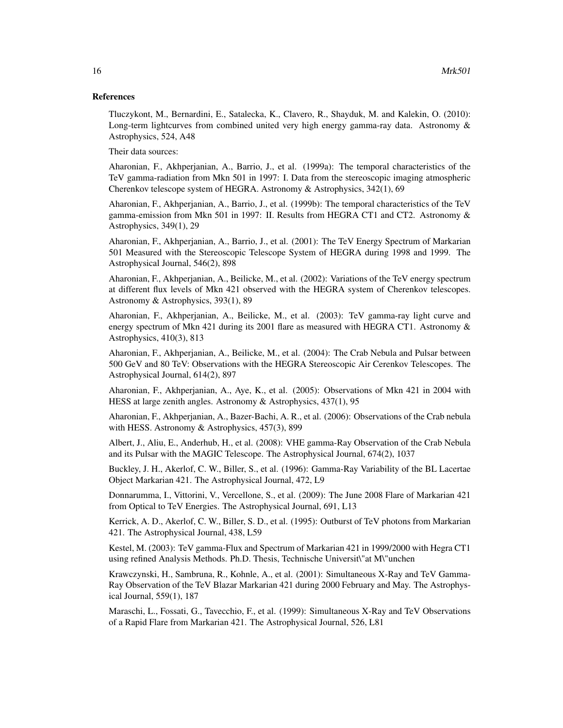#### References

Tluczykont, M., Bernardini, E., Satalecka, K., Clavero, R., Shayduk, M. and Kalekin, O. (2010): Long-term lightcurves from combined united very high energy gamma-ray data. Astronomy & Astrophysics, 524, A48

Their data sources:

Aharonian, F., Akhperjanian, A., Barrio, J., et al. (1999a): The temporal characteristics of the TeV gamma-radiation from Mkn 501 in 1997: I. Data from the stereoscopic imaging atmospheric Cherenkov telescope system of HEGRA. Astronomy & Astrophysics, 342(1), 69

Aharonian, F., Akhperjanian, A., Barrio, J., et al. (1999b): The temporal characteristics of the TeV gamma-emission from Mkn 501 in 1997: II. Results from HEGRA CT1 and CT2. Astronomy & Astrophysics, 349(1), 29

Aharonian, F., Akhperjanian, A., Barrio, J., et al. (2001): The TeV Energy Spectrum of Markarian 501 Measured with the Stereoscopic Telescope System of HEGRA during 1998 and 1999. The Astrophysical Journal, 546(2), 898

Aharonian, F., Akhperjanian, A., Beilicke, M., et al. (2002): Variations of the TeV energy spectrum at different flux levels of Mkn 421 observed with the HEGRA system of Cherenkov telescopes. Astronomy & Astrophysics, 393(1), 89

Aharonian, F., Akhperjanian, A., Beilicke, M., et al. (2003): TeV gamma-ray light curve and energy spectrum of Mkn 421 during its 2001 flare as measured with HEGRA CT1. Astronomy & Astrophysics, 410(3), 813

Aharonian, F., Akhperjanian, A., Beilicke, M., et al. (2004): The Crab Nebula and Pulsar between 500 GeV and 80 TeV: Observations with the HEGRA Stereoscopic Air Cerenkov Telescopes. The Astrophysical Journal, 614(2), 897

Aharonian, F., Akhperjanian, A., Aye, K., et al. (2005): Observations of Mkn 421 in 2004 with HESS at large zenith angles. Astronomy & Astrophysics, 437(1), 95

Aharonian, F., Akhperjanian, A., Bazer-Bachi, A. R., et al. (2006): Observations of the Crab nebula with HESS. Astronomy & Astrophysics, 457(3), 899

Albert, J., Aliu, E., Anderhub, H., et al. (2008): VHE gamma-Ray Observation of the Crab Nebula and its Pulsar with the MAGIC Telescope. The Astrophysical Journal, 674(2), 1037

Buckley, J. H., Akerlof, C. W., Biller, S., et al. (1996): Gamma-Ray Variability of the BL Lacertae Object Markarian 421. The Astrophysical Journal, 472, L9

Donnarumma, I., Vittorini, V., Vercellone, S., et al. (2009): The June 2008 Flare of Markarian 421 from Optical to TeV Energies. The Astrophysical Journal, 691, L13

Kerrick, A. D., Akerlof, C. W., Biller, S. D., et al. (1995): Outburst of TeV photons from Markarian 421. The Astrophysical Journal, 438, L59

Kestel, M. (2003): TeV gamma-Flux and Spectrum of Markarian 421 in 1999/2000 with Hegra CT1 using refined Analysis Methods. Ph.D. Thesis, Technische Universit\"at M\"unchen

Krawczynski, H., Sambruna, R., Kohnle, A., et al. (2001): Simultaneous X-Ray and TeV Gamma-Ray Observation of the TeV Blazar Markarian 421 during 2000 February and May. The Astrophysical Journal, 559(1), 187

Maraschi, L., Fossati, G., Tavecchio, F., et al. (1999): Simultaneous X-Ray and TeV Observations of a Rapid Flare from Markarian 421. The Astrophysical Journal, 526, L81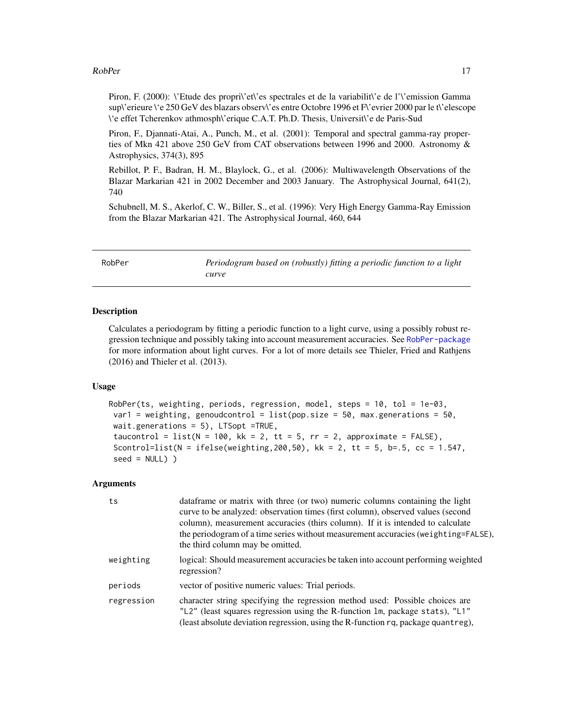#### <span id="page-16-0"></span>RobPer 17

Piron, F. (2000): \'Etude des propri\'et\'es spectrales et de la variabilit\'e de l'\'emission Gamma sup\'erieure \'e 250 GeV des blazars observ\'es entre Octobre 1996 et F\'evrier 2000 par le t\'elescope \'e effet Tcherenkov athmosph\'erique C.A.T. Ph.D. Thesis, Universit\'e de Paris-Sud

Piron, F., Djannati-Atai, A., Punch, M., et al. (2001): Temporal and spectral gamma-ray properties of Mkn 421 above 250 GeV from CAT observations between 1996 and 2000. Astronomy & Astrophysics, 374(3), 895

Rebillot, P. F., Badran, H. M., Blaylock, G., et al. (2006): Multiwavelength Observations of the Blazar Markarian 421 in 2002 December and 2003 January. The Astrophysical Journal, 641(2), 740

Schubnell, M. S., Akerlof, C. W., Biller, S., et al. (1996): Very High Energy Gamma-Ray Emission from the Blazar Markarian 421. The Astrophysical Journal, 460, 644

<span id="page-16-1"></span>RobPer *Periodogram based on (robustly) fitting a periodic function to a light curve*

### Description

Calculates a periodogram by fitting a periodic function to a light curve, using a possibly robust regression technique and possibly taking into account measurement accuracies. See [RobPer-package](#page-1-1) for more information about light curves. For a lot of more details see Thieler, Fried and Rathjens (2016) and Thieler et al. (2013).

#### Usage

```
RobPer(ts, weighting, periods, regression, model, steps = 10, tol = 1e-03,
var1 = weighting, genoudcontrol = list(pop.size = 50, max.generations = 50,
wait.generations = 5), LTSopt =TRUE,
taucontrol = list(N = 100, kk = 2, tt = 5, rr = 2, approximate = FALSE),
Scontrol=list(N = ifelse(weighting, 200, 50), kk = 2, tt = 5, b=.5, cc = 1.547,
seed = NULL) )
```
#### Arguments

| ts         | data frame or matrix with three (or two) numeric columns containing the light<br>curve to be analyzed: observation times (first column), observed values (second<br>column), measurement accuracies (thirs column). If it is intended to calculate<br>the periodogram of a time series without measurement accuracies (weighting=FALSE),<br>the third column may be omitted. |
|------------|------------------------------------------------------------------------------------------------------------------------------------------------------------------------------------------------------------------------------------------------------------------------------------------------------------------------------------------------------------------------------|
| weighting  | logical: Should measurement accuracies be taken into account performing weighted<br>regression?                                                                                                                                                                                                                                                                              |
| periods    | vector of positive numeric values: Trial periods.                                                                                                                                                                                                                                                                                                                            |
| regression | character string specifying the regression method used: Possible choices are<br>"L2" (least squares regression using the R-function 1m, package stats), "L1"<br>(least absolute deviation regression, using the R-function rq, package quant reg),                                                                                                                           |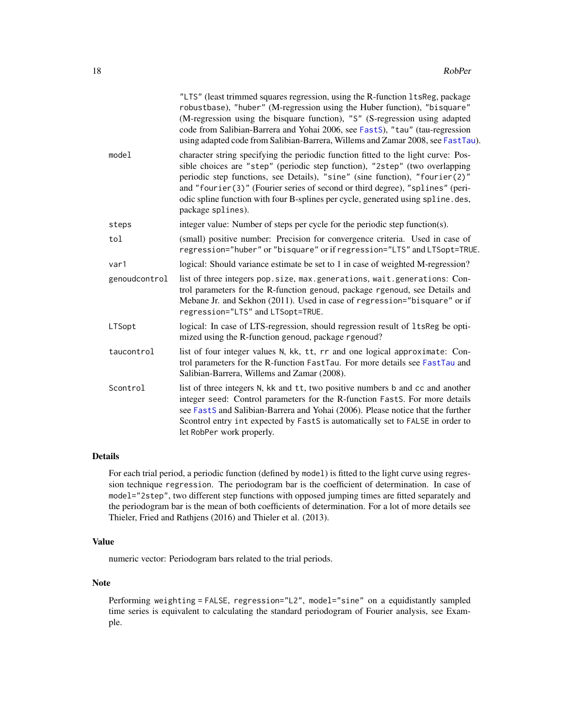<span id="page-17-0"></span>

|               | "LTS" (least trimmed squares regression, using the R-function 1tsReg, package<br>robustbase), "huber" (M-regression using the Huber function), "bisquare"<br>(M-regression using the bisquare function), "S" (S-regression using adapted<br>code from Salibian-Barrera and Yohai 2006, see FastS), "tau" (tau-regression<br>using adapted code from Salibian-Barrera, Willems and Zamar 2008, see FastTau).                               |
|---------------|-------------------------------------------------------------------------------------------------------------------------------------------------------------------------------------------------------------------------------------------------------------------------------------------------------------------------------------------------------------------------------------------------------------------------------------------|
| model         | character string specifying the periodic function fitted to the light curve: Pos-<br>sible choices are "step" (periodic step function), "2step" (two overlapping<br>periodic step functions, see Details), "sine" (sine function), "fourier(2)"<br>and "fourier(3)" (Fourier series of second or third degree), "splines" (peri-<br>odic spline function with four B-splines per cycle, generated using spline. des,<br>package splines). |
| steps         | integer value: Number of steps per cycle for the periodic step function(s).                                                                                                                                                                                                                                                                                                                                                               |
| tol           | (small) positive number: Precision for convergence criteria. Used in case of<br>regression="huber" or "bisquare" or if regression="LTS" and LTSopt=TRUE.                                                                                                                                                                                                                                                                                  |
| var1          | logical: Should variance estimate be set to 1 in case of weighted M-regression?                                                                                                                                                                                                                                                                                                                                                           |
| genoudcontrol | list of three integers pop. size, max. generations, wait. generations: Con-<br>trol parameters for the R-function genoud, package rgenoud, see Details and<br>Mebane Jr. and Sekhon (2011). Used in case of regression="bisquare" or if<br>regression="LTS" and LTSopt=TRUE.                                                                                                                                                              |
| LTSopt        | logical: In case of LTS-regression, should regression result of 1tsReg be opti-<br>mized using the R-function genoud, package rgenoud?                                                                                                                                                                                                                                                                                                    |
| taucontrol    | list of four integer values N, kk, tt, rr and one logical approximate: Con-<br>trol parameters for the R-function FastTau. For more details see FastTau and<br>Salibian-Barrera, Willems and Zamar (2008).                                                                                                                                                                                                                                |
| Scontrol      | list of three integers N, kk and tt, two positive numbers b and cc and another<br>integer seed: Control parameters for the R-function FastS. For more details<br>see FastS and Salibian-Barrera and Yohai (2006). Please notice that the further<br>Scontrol entry int expected by FastS is automatically set to FALSE in order to<br>let RobPer work properly.                                                                           |

# Details

For each trial period, a periodic function (defined by model) is fitted to the light curve using regression technique regression. The periodogram bar is the coefficient of determination. In case of model="2step", two different step functions with opposed jumping times are fitted separately and the periodogram bar is the mean of both coefficients of determination. For a lot of more details see Thieler, Fried and Rathjens (2016) and Thieler et al. (2013).

# Value

numeric vector: Periodogram bars related to the trial periods.

# Note

Performing weighting = FALSE, regression="L2", model="sine" on a equidistantly sampled time series is equivalent to calculating the standard periodogram of Fourier analysis, see Example.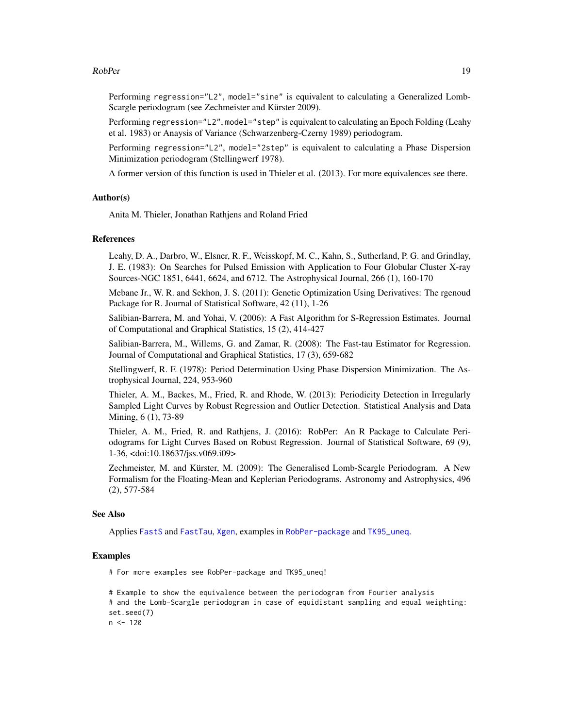#### <span id="page-18-0"></span>RobPer 2008 and 2009 and 2009 and 2009 and 2009 and 2009 and 2009 and 2009 and 2009 and 2009 and 2009 and 2009  $\pm 19$

Performing regression="L2", model="sine" is equivalent to calculating a Generalized Lomb-Scargle periodogram (see Zechmeister and Kürster 2009).

Performing regression="L2", model="step" is equivalent to calculating an Epoch Folding (Leahy et al. 1983) or Anaysis of Variance (Schwarzenberg-Czerny 1989) periodogram.

Performing regression="L2", model="2step" is equivalent to calculating a Phase Dispersion Minimization periodogram (Stellingwerf 1978).

A former version of this function is used in Thieler et al. (2013). For more equivalences see there.

#### Author(s)

Anita M. Thieler, Jonathan Rathjens and Roland Fried

#### References

Leahy, D. A., Darbro, W., Elsner, R. F., Weisskopf, M. C., Kahn, S., Sutherland, P. G. and Grindlay, J. E. (1983): On Searches for Pulsed Emission with Application to Four Globular Cluster X-ray Sources-NGC 1851, 6441, 6624, and 6712. The Astrophysical Journal, 266 (1), 160-170

Mebane Jr., W. R. and Sekhon, J. S. (2011): Genetic Optimization Using Derivatives: The rgenoud Package for R. Journal of Statistical Software, 42 (11), 1-26

Salibian-Barrera, M. and Yohai, V. (2006): A Fast Algorithm for S-Regression Estimates. Journal of Computational and Graphical Statistics, 15 (2), 414-427

Salibian-Barrera, M., Willems, G. and Zamar, R. (2008): The Fast-tau Estimator for Regression. Journal of Computational and Graphical Statistics, 17 (3), 659-682

Stellingwerf, R. F. (1978): Period Determination Using Phase Dispersion Minimization. The Astrophysical Journal, 224, 953-960

Thieler, A. M., Backes, M., Fried, R. and Rhode, W. (2013): Periodicity Detection in Irregularly Sampled Light Curves by Robust Regression and Outlier Detection. Statistical Analysis and Data Mining, 6 (1), 73-89

Thieler, A. M., Fried, R. and Rathjens, J. (2016): RobPer: An R Package to Calculate Periodograms for Light Curves Based on Robust Regression. Journal of Statistical Software, 69 (9), 1-36, <doi:10.18637/jss.v069.i09>

Zechmeister, M. and Kürster, M. (2009): The Generalised Lomb-Scargle Periodogram. A New Formalism for the Floating-Mean and Keplerian Periodograms. Astronomy and Astrophysics, 496 (2), 577-584

# See Also

Applies [FastS](#page-7-1) and [FastTau](#page-8-1), [Xgen](#page-29-1), examples in [RobPer-package](#page-1-1) and [TK95\\_uneq](#page-24-1).

#### Examples

# For more examples see RobPer-package and TK95\_uneq!

```
# Example to show the equivalence between the periodogram from Fourier analysis
# and the Lomb-Scargle periodogram in case of equidistant sampling and equal weighting:
set.seed(7)
n <- 120
```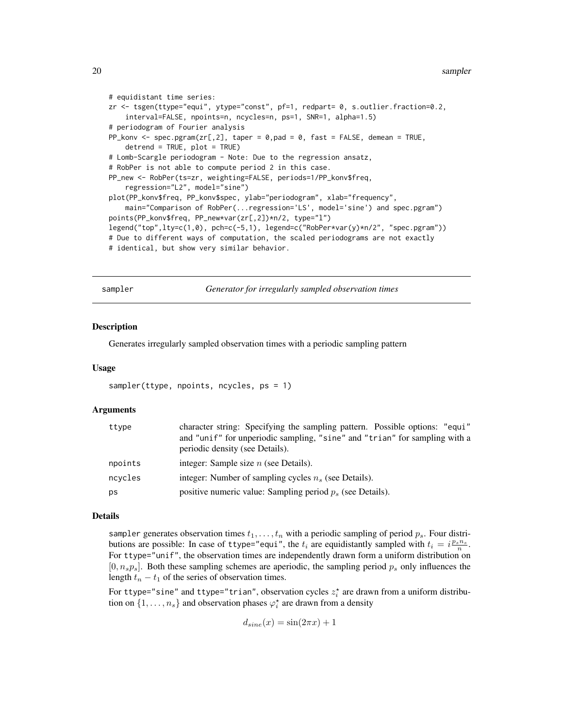```
# equidistant time series:
zr <- tsgen(ttype="equi", ytype="const", pf=1, redpart= 0, s.outlier.fraction=0.2,
    interval=FALSE, npoints=n, ncycles=n, ps=1, SNR=1, alpha=1.5)
# periodogram of Fourier analysis
PP_konv <- spec.pgram(zr[,2], taper = 0, pad = 0, fast = FALSE, demean = TRUE,
    detrend = TRUE, plot = TRUE)
# Lomb-Scargle periodogram - Note: Due to the regression ansatz,
# RobPer is not able to compute period 2 in this case.
PP_new <- RobPer(ts=zr, weighting=FALSE, periods=1/PP_konv$freq,
    regression="L2", model="sine")
plot(PP_konv$freq, PP_konv$spec, ylab="periodogram", xlab="frequency",
    main="Comparison of RobPer(...regression='LS', model='sine') and spec.pgram")
points(PP_konv$freq, PP_new*var(zr[,2])*n/2, type="l")
legend("top",lty=c(1,0), pch=c(-5,1), legend=c("RobPer*var(y)*n/2", "spec.pgram"))
# Due to different ways of computation, the scaled periodograms are not exactly
# identical, but show very similar behavior.
```
sampler *Generator for irregularly sampled observation times*

#### **Description**

Generates irregularly sampled observation times with a periodic sampling pattern

#### Usage

```
sampler(ttype, npoints, ncycles, ps = 1)
```
# Arguments

| ttype   | character string: Specifying the sampling pattern. Possible options: "equi"<br>and "unif" for unperiodic sampling, "sine" and "trian" for sampling with a<br>periodic density (see Details). |
|---------|----------------------------------------------------------------------------------------------------------------------------------------------------------------------------------------------|
| npoints | integer: Sample size $n$ (see Details).                                                                                                                                                      |
| ncycles | integer: Number of sampling cycles $n_s$ (see Details).                                                                                                                                      |
| ps      | positive numeric value: Sampling period $p_s$ (see Details).                                                                                                                                 |

#### Details

sampler generates observation times  $t_1, \ldots, t_n$  with a periodic sampling of period  $p_s$ . Four distributions are possible: In case of ttype="equi", the  $t_i$  are equidistantly sampled with  $t_i = i \frac{p_s n_s}{n}$ . For ttype="unif", the observation times are independently drawn form a uniform distribution on  $[0, n_s p_s]$ . Both these sampling schemes are aperiodic, the sampling period  $p_s$  only influences the length  $t_n - t_1$  of the series of observation times.

For ttype="sine" and ttype="trian", observation cycles  $z_i^\star$  are drawn from a uniform distribution on  $\{1, \ldots, n_s\}$  and observation phases  $\varphi_i^*$  are drawn from a density

$$
d_{sine}(x) = \sin(2\pi x) + 1
$$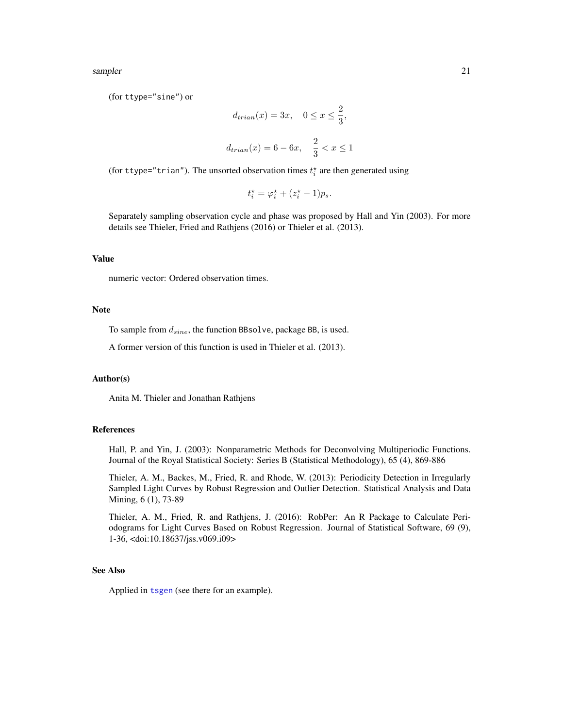<span id="page-20-0"></span>sampler 21

(for ttype="sine") or

$$
d_{train}(x) = 3x, \quad 0 \le x \le \frac{2}{3},
$$
  

$$
d_{train}(x) = 6 - 6x, \quad \frac{2}{3} < x \le 1
$$

(for ttype="trian"). The unsorted observation times  $t_i^*$  are then generated using

 $t_i^* = \varphi_i^* + (z_i^* - 1)p_s.$ 

Separately sampling observation cycle and phase was proposed by Hall and Yin (2003). For more details see Thieler, Fried and Rathjens (2016) or Thieler et al. (2013).

# Value

numeric vector: Ordered observation times.

#### Note

To sample from  $d_{sine}$ , the function BBsolve, package BB, is used.

A former version of this function is used in Thieler et al. (2013).

#### Author(s)

Anita M. Thieler and Jonathan Rathjens

# References

Hall, P. and Yin, J. (2003): Nonparametric Methods for Deconvolving Multiperiodic Functions. Journal of the Royal Statistical Society: Series B (Statistical Methodology), 65 (4), 869-886

Thieler, A. M., Backes, M., Fried, R. and Rhode, W. (2013): Periodicity Detection in Irregularly Sampled Light Curves by Robust Regression and Outlier Detection. Statistical Analysis and Data Mining, 6 (1), 73-89

Thieler, A. M., Fried, R. and Rathjens, J. (2016): RobPer: An R Package to Calculate Periodograms for Light Curves Based on Robust Regression. Journal of Statistical Software, 69 (9), 1-36, <doi:10.18637/jss.v069.i09>

# See Also

Applied in [tsgen](#page-26-1) (see there for an example).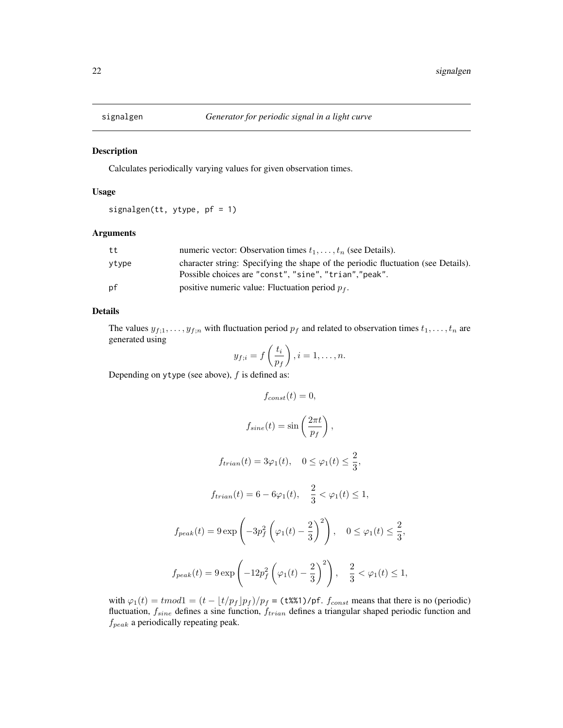<span id="page-21-1"></span><span id="page-21-0"></span>

# Description

Calculates periodically varying values for given observation times.

# Usage

signalgen(tt, ytype, pf = 1)

# Arguments

| tt    | numeric vector: Observation times $t_1, \ldots, t_n$ (see Details).                                                                         |
|-------|---------------------------------------------------------------------------------------------------------------------------------------------|
| vtvpe | character string: Specifying the shape of the periodic fluctuation (see Details).<br>Possible choices are "const", "sine", "trian", "peak". |
| рf    | positive numeric value: Fluctuation period $p_f$ .                                                                                          |

# Details

The values  $y_{f,1}, \ldots, y_{f,n}$  with fluctuation period  $p_f$  and related to observation times  $t_1, \ldots, t_n$  are generated using

$$
y_{f;i} = f\left(\frac{t_i}{p_f}\right), i = 1, \ldots, n.
$$

Depending on ytype (see above),  $f$  is defined as:

$$
f_{const}(t) = 0,
$$
  
\n
$$
f_{sine}(t) = \sin\left(\frac{2\pi t}{p_f}\right),
$$
  
\n
$$
f_{trian}(t) = 3\varphi_1(t), \quad 0 \le \varphi_1(t) \le \frac{2}{3},
$$
  
\n
$$
f_{trian}(t) = 6 - 6\varphi_1(t), \quad \frac{2}{3} < \varphi_1(t) \le 1,
$$
  
\n
$$
f_{peak}(t) = 9 \exp\left(-3p_f^2\left(\varphi_1(t) - \frac{2}{3}\right)^2\right), \quad 0 \le \varphi_1(t) \le \frac{2}{3},
$$
  
\n
$$
f_{peak}(t) = 9 \exp\left(-12p_f^2\left(\varphi_1(t) - \frac{2}{3}\right)^2\right), \quad \frac{2}{3} < \varphi_1(t) \le 1
$$

with  $\varphi_1(t) = \text{tmod}1 = (t - \lfloor t/p_f \rfloor p_f)/p_f = (\text{t\%1})/pf$ .  $f_{const}$  means that there is no (periodic) fluctuation,  $f_{sine}$  defines a sine function,  $f_{trian}$  defines a triangular shaped periodic function and  $f_{peak}$  a periodically repeating peak.

 $1,$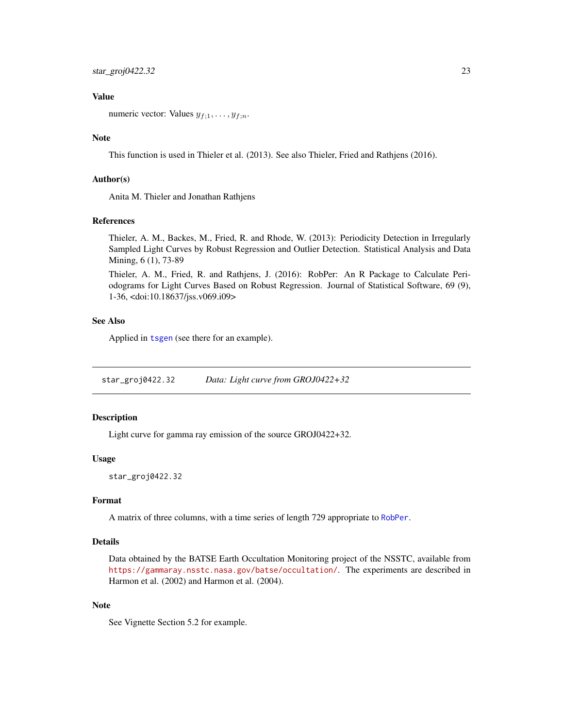# <span id="page-22-0"></span>Value

numeric vector: Values  $y_{f,1}, \ldots, y_{f,n}$ .

#### Note

This function is used in Thieler et al. (2013). See also Thieler, Fried and Rathjens (2016).

#### Author(s)

Anita M. Thieler and Jonathan Rathjens

#### References

Thieler, A. M., Backes, M., Fried, R. and Rhode, W. (2013): Periodicity Detection in Irregularly Sampled Light Curves by Robust Regression and Outlier Detection. Statistical Analysis and Data Mining, 6 (1), 73-89

Thieler, A. M., Fried, R. and Rathjens, J. (2016): RobPer: An R Package to Calculate Periodograms for Light Curves Based on Robust Regression. Journal of Statistical Software, 69 (9), 1-36, <doi:10.18637/jss.v069.i09>

#### See Also

Applied in [tsgen](#page-26-1) (see there for an example).

star\_groj0422.32 *Data: Light curve from GROJ0422+32*

#### Description

Light curve for gamma ray emission of the source GROJ0422+32.

#### Usage

star\_groj0422.32

# Format

A matrix of three columns, with a time series of length 729 appropriate to [RobPer](#page-16-1).

# Details

Data obtained by the BATSE Earth Occultation Monitoring project of the NSSTC, available from <https://gammaray.nsstc.nasa.gov/batse/occultation/>. The experiments are described in Harmon et al. (2002) and Harmon et al. (2004).

#### Note

See Vignette Section 5.2 for example.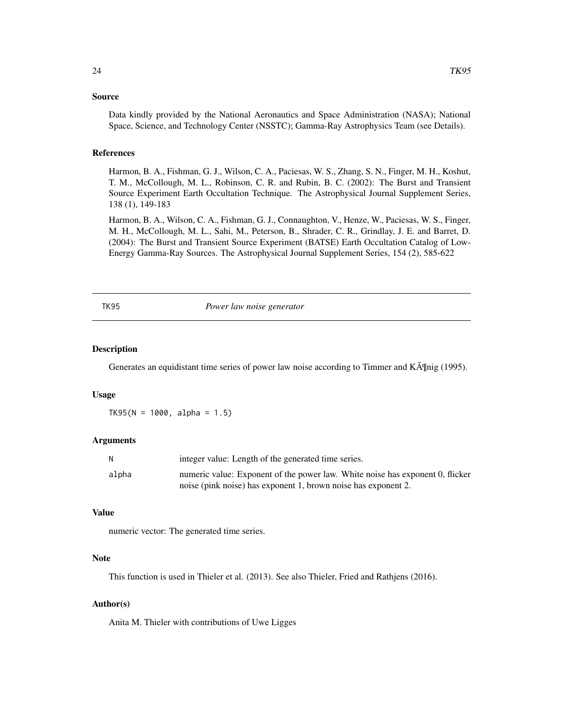#### <span id="page-23-0"></span>Source

Data kindly provided by the National Aeronautics and Space Administration (NASA); National Space, Science, and Technology Center (NSSTC); Gamma-Ray Astrophysics Team (see Details).

#### References

Harmon, B. A., Fishman, G. J., Wilson, C. A., Paciesas, W. S., Zhang, S. N., Finger, M. H., Koshut, T. M., McCollough, M. L., Robinson, C. R. and Rubin, B. C. (2002): The Burst and Transient Source Experiment Earth Occultation Technique. The Astrophysical Journal Supplement Series, 138 (1), 149-183

Harmon, B. A., Wilson, C. A., Fishman, G. J., Connaughton, V., Henze, W., Paciesas, W. S., Finger, M. H., McCollough, M. L., Sahi, M., Peterson, B., Shrader, C. R., Grindlay, J. E. and Barret, D. (2004): The Burst and Transient Source Experiment (BATSE) Earth Occultation Catalog of Low-Energy Gamma-Ray Sources. The Astrophysical Journal Supplement Series, 154 (2), 585-622

<span id="page-23-1"></span>

TK95 *Power law noise generator*

#### Description

Generates an equidistant time series of power law noise according to Timmer and  $K\tilde{A}$  [nig (1995).

#### Usage

 $TK95(N = 1000, alpha = 1.5)$ 

#### Arguments

| N     | integer value: Length of the generated time series.                           |
|-------|-------------------------------------------------------------------------------|
| alpha | numeric value: Exponent of the power law. White noise has exponent 0, flicker |
|       | noise (pink noise) has exponent 1, brown noise has exponent 2.                |

# Value

numeric vector: The generated time series.

#### **Note**

This function is used in Thieler et al. (2013). See also Thieler, Fried and Rathjens (2016).

#### Author(s)

Anita M. Thieler with contributions of Uwe Ligges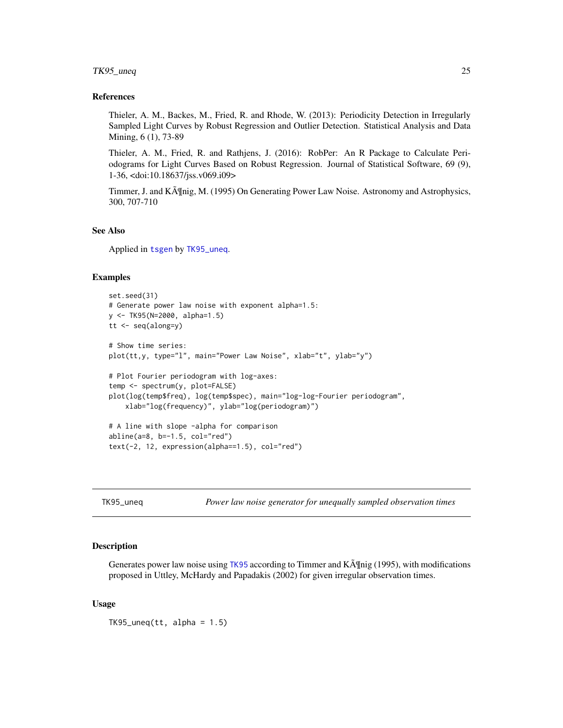#### <span id="page-24-0"></span>TK95\_uneq 25

#### References

Thieler, A. M., Backes, M., Fried, R. and Rhode, W. (2013): Periodicity Detection in Irregularly Sampled Light Curves by Robust Regression and Outlier Detection. Statistical Analysis and Data Mining, 6 (1), 73-89

Thieler, A. M., Fried, R. and Rathjens, J. (2016): RobPer: An R Package to Calculate Periodograms for Light Curves Based on Robust Regression. Journal of Statistical Software, 69 (9), 1-36, <doi:10.18637/jss.v069.i09>

Timmer, J. and K $\tilde{A}$  [[nig, M. (1995) On Generating Power Law Noise. Astronomy and Astrophysics, 300, 707-710

#### See Also

Applied in [tsgen](#page-26-1) by [TK95\\_uneq](#page-24-1).

# Examples

```
set.seed(31)
# Generate power law noise with exponent alpha=1.5:
y <- TK95(N=2000, alpha=1.5)
tt <- seq(along=y)
# Show time series:
plot(tt,y, type="l", main="Power Law Noise", xlab="t", ylab="y")
# Plot Fourier periodogram with log-axes:
temp <- spectrum(y, plot=FALSE)
plot(log(temp$freq), log(temp$spec), main="log-log-Fourier periodogram",
   xlab="log(frequency)", ylab="log(periodogram)")
# A line with slope -alpha for comparison
abline(a=8, b=-1.5, col="red")text(-2, 12, expression(alpha==1.5), col="red")
```
<span id="page-24-1"></span>TK95\_uneq *Power law noise generator for unequally sampled observation times*

#### Description

Generates power law noise using [TK95](#page-23-1) according to Timmer and K $\tilde{A}$  [nig (1995), with modifications proposed in Uttley, McHardy and Papadakis (2002) for given irregular observation times.

#### Usage

 $TK95_$ uneq(tt, alpha = 1.5)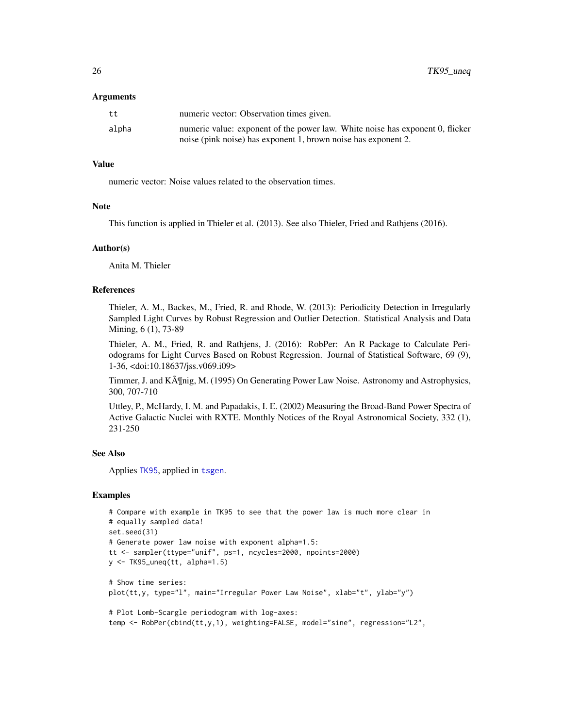#### <span id="page-25-0"></span>Arguments

| tt    | numeric vector: Observation times given.                                      |
|-------|-------------------------------------------------------------------------------|
| alpha | numeric value: exponent of the power law. White noise has exponent 0, flicker |
|       | noise (pink noise) has exponent 1, brown noise has exponent 2.                |

#### Value

numeric vector: Noise values related to the observation times.

#### **Note**

This function is applied in Thieler et al. (2013). See also Thieler, Fried and Rathjens (2016).

#### Author(s)

Anita M. Thieler

#### References

Thieler, A. M., Backes, M., Fried, R. and Rhode, W. (2013): Periodicity Detection in Irregularly Sampled Light Curves by Robust Regression and Outlier Detection. Statistical Analysis and Data Mining, 6 (1), 73-89

Thieler, A. M., Fried, R. and Rathjens, J. (2016): RobPer: An R Package to Calculate Periodograms for Light Curves Based on Robust Regression. Journal of Statistical Software, 69 (9), 1-36, <doi:10.18637/jss.v069.i09>

Timmer, J. and K $\tilde{A}$ ¶nig, M. (1995) On Generating Power Law Noise. Astronomy and Astrophysics, 300, 707-710

Uttley, P., McHardy, I. M. and Papadakis, I. E. (2002) Measuring the Broad-Band Power Spectra of Active Galactic Nuclei with RXTE. Monthly Notices of the Royal Astronomical Society, 332 (1), 231-250

#### See Also

Applies [TK95](#page-23-1), applied in [tsgen](#page-26-1).

#### Examples

```
# Compare with example in TK95 to see that the power law is much more clear in
# equally sampled data!
set.seed(31)
# Generate power law noise with exponent alpha=1.5:
tt <- sampler(ttype="unif", ps=1, ncycles=2000, npoints=2000)
y \leftarrow TK95_uneq(tt, alpha=1.5)
# Show time series:
plot(tt,y, type="l", main="Irregular Power Law Noise", xlab="t", ylab="y")
# Plot Lomb-Scargle periodogram with log-axes:
temp <- RobPer(cbind(tt,y,1), weighting=FALSE, model="sine", regression="L2",
```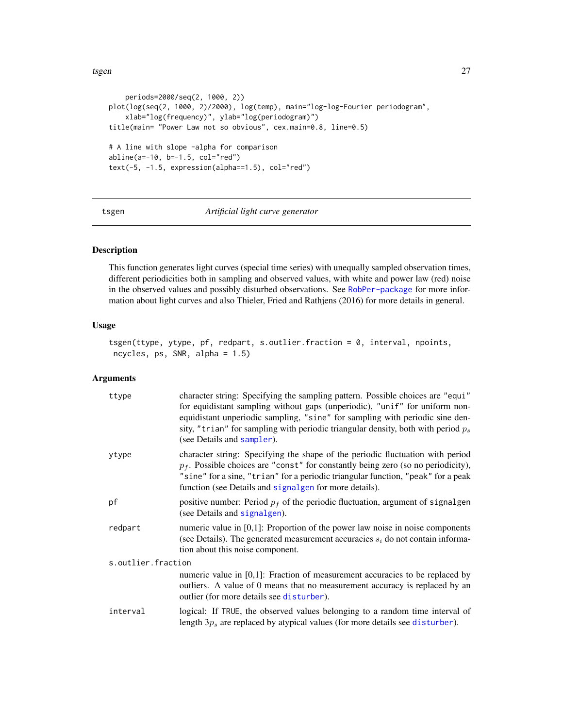```
periods=2000/seq(2, 1000, 2))
plot(log(seq(2, 1000, 2)/2000), log(temp), main="log-log-Fourier periodogram",
    xlab="log(frequency)", ylab="log(periodogram)")
title(main= "Power Law not so obvious", cex.main=0.8, line=0.5)
# A line with slope -alpha for comparison
abline(a=-10, b=-1.5, col="red")
text(-5, -1.5, expression(alpha==1.5), col="red")
```
<span id="page-26-1"></span>

#### tsgen *Artificial light curve generator*

# Description

This function generates light curves (special time series) with unequally sampled observation times, different periodicities both in sampling and observed values, with white and power law (red) noise in the observed values and possibly disturbed observations. See [RobPer-package](#page-1-1) for more information about light curves and also Thieler, Fried and Rathjens (2016) for more details in general.

#### Usage

```
tsgen(ttype, ytype, pf, redpart, s.outlier.fraction = 0, interval, npoints,
ncycles, ps, SNR, alpha = 1.5)
```
# Arguments

| ttype              | character string: Specifying the sampling pattern. Possible choices are "equi"<br>for equidistant sampling without gaps (unperiodic), "unif" for uniform non-<br>equidistant unperiodic sampling, "sine" for sampling with periodic sine den-<br>sity, "trian" for sampling with periodic triangular density, both with period $p_s$<br>(see Details and sampler). |  |
|--------------------|--------------------------------------------------------------------------------------------------------------------------------------------------------------------------------------------------------------------------------------------------------------------------------------------------------------------------------------------------------------------|--|
| ytype              | character string: Specifying the shape of the periodic fluctuation with period<br>$p_f$ . Possible choices are "const" for constantly being zero (so no periodicity),<br>"sine" for a sine, "trian" for a periodic triangular function, "peak" for a peak<br>function (see Details and signalgen for more details).                                                |  |
| pf                 | positive number: Period $p_f$ of the periodic fluctuation, argument of signalgen<br>(see Details and signalgen).                                                                                                                                                                                                                                                   |  |
| redpart            | numeric value in $[0,1]$ : Proportion of the power law noise in noise components<br>(see Details). The generated measurement accuracies $s_i$ do not contain informa-<br>tion about this noise component.                                                                                                                                                          |  |
| s.outlier.fraction |                                                                                                                                                                                                                                                                                                                                                                    |  |
|                    | numeric value in $[0,1]$ : Fraction of measurement accuracies to be replaced by<br>outliers. A value of 0 means that no measurement accuracy is replaced by an<br>outlier (for more details see disturber).                                                                                                                                                        |  |
| interval           | logical: If TRUE, the observed values belonging to a random time interval of<br>length $3p_s$ are replaced by atypical values (for more details see disturber).                                                                                                                                                                                                    |  |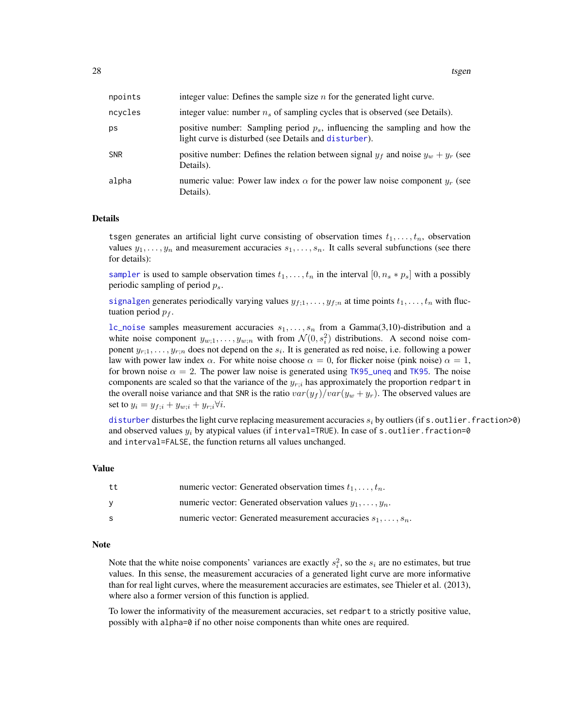<span id="page-27-0"></span>

| npoints    | integer value: Defines the sample size $n$ for the generated light curve.                                                              |
|------------|----------------------------------------------------------------------------------------------------------------------------------------|
| ncycles    | integer value: number $n_s$ of sampling cycles that is observed (see Details).                                                         |
| ps         | positive number: Sampling period $p_s$ , influencing the sampling and how the<br>light curve is disturbed (see Details and disturber). |
| <b>SNR</b> | positive number: Defines the relation between signal $y_f$ and noise $y_w + y_r$ (see<br>Details).                                     |
| alpha      | numeric value: Power law index $\alpha$ for the power law noise component $y_r$ (see<br>Details).                                      |

#### Details

tsgen generates an artificial light curve consisting of observation times  $t_1, \ldots, t_n$ , observation values  $y_1, \ldots, y_n$  and measurement accuracies  $s_1, \ldots, s_n$ . It calls several subfunctions (see there for details):

[sampler](#page-19-1) is used to sample observation times  $t_1, \ldots, t_n$  in the interval  $[0, n_s * p_s]$  with a possibly periodic sampling of period  $p_s$ .

[signalgen](#page-21-1) generates periodically varying values  $y_{f,1}, \ldots, y_{f,n}$  at time points  $t_1, \ldots, t_n$  with fluctuation period  $p_f$ .

[lc\\_noise](#page-10-1) samples measurement accuracies  $s_1, \ldots, s_n$  from a Gamma(3,10)-distribution and a white noise component  $y_{w,1}, \ldots, y_{w,n}$  with from  $\mathcal{N}(0, s_i^2)$  distributions. A second noise component  $y_{r,1}, \ldots, y_{r,n}$  does not depend on the  $s_i$ . It is generated as red noise, i.e. following a power law with power law index  $\alpha$ . For white noise choose  $\alpha = 0$ , for flicker noise (pink noise)  $\alpha = 1$ , for brown noise  $\alpha = 2$ . The power law noise is generated using [TK95\\_uneq](#page-24-1) and [TK95](#page-23-1). The noise components are scaled so that the variance of the  $y_{r,i}$  has approximately the proportion redpart in the overall noise variance and that SNR is the ratio  $var(y_f)/var(y_w + y_r)$ . The observed values are set to  $y_i = y_{f;i} + y_{w;i} + y_{r;i} \forall i$ .

[disturber](#page-6-1) disturbes the light curve replacing measurement accuracies  $s_i$  by outliers (if s. outlier. fraction>0) and observed values  $y_i$  by atypical values (if interval=TRUE). In case of s. outlier. fraction=0 and interval=FALSE, the function returns all values unchanged.

#### Value

| tt | numeric vector: Generated observation times $t_1, \ldots, t_n$ .      |
|----|-----------------------------------------------------------------------|
| V  | numeric vector: Generated observation values $y_1, \ldots, y_n$ .     |
| S. | numeric vector: Generated measurement accuracies $s_1, \ldots, s_n$ . |

#### Note

Note that the white noise components' variances are exactly  $s_i^2$ , so the  $s_i$  are no estimates, but true values. In this sense, the measurement accuracies of a generated light curve are more informative than for real light curves, where the measurement accuracies are estimates, see Thieler et al. (2013), where also a former version of this function is applied.

To lower the informativity of the measurement accuracies, set redpart to a strictly positive value, possibly with alpha=0 if no other noise components than white ones are required.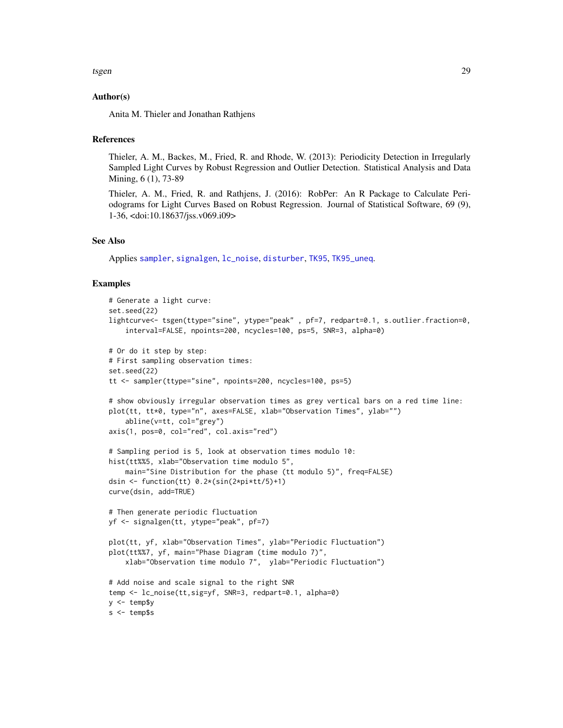#### <span id="page-28-0"></span>Author(s)

Anita M. Thieler and Jonathan Rathjens

#### **References**

Thieler, A. M., Backes, M., Fried, R. and Rhode, W. (2013): Periodicity Detection in Irregularly Sampled Light Curves by Robust Regression and Outlier Detection. Statistical Analysis and Data Mining, 6 (1), 73-89

Thieler, A. M., Fried, R. and Rathjens, J. (2016): RobPer: An R Package to Calculate Periodograms for Light Curves Based on Robust Regression. Journal of Statistical Software, 69 (9), 1-36, <doi:10.18637/jss.v069.i09>

#### See Also

Applies [sampler](#page-19-1), [signalgen](#page-21-1), [lc\\_noise](#page-10-1), [disturber](#page-6-1), [TK95](#page-23-1), [TK95\\_uneq](#page-24-1).

#### Examples

```
# Generate a light curve:
set.seed(22)
lightcurve<- tsgen(ttype="sine", ytype="peak" , pf=7, redpart=0.1, s.outlier.fraction=0,
    interval=FALSE, npoints=200, ncycles=100, ps=5, SNR=3, alpha=0)
# Or do it step by step:
# First sampling observation times:
set.seed(22)
tt <- sampler(ttype="sine", npoints=200, ncycles=100, ps=5)
# show obviously irregular observation times as grey vertical bars on a red time line:
plot(tt, tt*0, type="n", axes=FALSE, xlab="Observation Times", ylab="")
    abline(v=tt, col="grey")
axis(1, pos=0, col="red", col.axis="red")
# Sampling period is 5, look at observation times modulo 10:
hist(tt%%5, xlab="Observation time modulo 5",
    main="Sine Distribution for the phase (tt modulo 5)", freq=FALSE)
dsin \le function(tt) 0.2*(sin(2*pi*tt/5)+1)curve(dsin, add=TRUE)
# Then generate periodic fluctuation
yf <- signalgen(tt, ytype="peak", pf=7)
plot(tt, yf, xlab="Observation Times", ylab="Periodic Fluctuation")
plot(tt%%7, yf, main="Phase Diagram (time modulo 7)",
    xlab="Observation time modulo 7", ylab="Periodic Fluctuation")
# Add noise and scale signal to the right SNR
temp <- lc_noise(tt,sig=yf, SNR=3, redpart=0.1, alpha=0)
y <- temp$y
s <- temp$s
```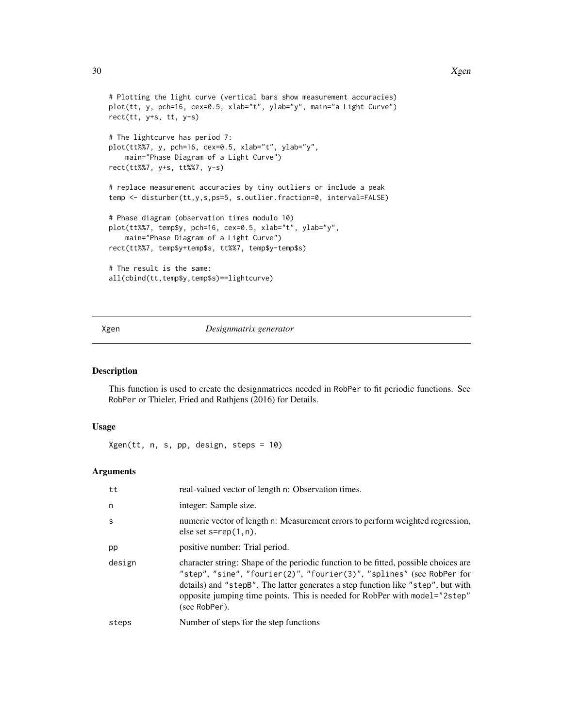```
# Plotting the light curve (vertical bars show measurement accuracies)
plot(tt, y, pch=16, cex=0.5, xlab="t", ylab="y", main="a Light Curve")
rect(tt, y+s, tt, y-s)
# The lightcurve has period 7:
plot(tt%%7, y, pch=16, cex=0.5, xlab="t", ylab="y",
   main="Phase Diagram of a Light Curve")
rect(tt%%7, y+s, tt%%7, y-s)
# replace measurement accuracies by tiny outliers or include a peak
temp <- disturber(tt,y,s,ps=5, s.outlier.fraction=0, interval=FALSE)
# Phase diagram (observation times modulo 10)
plot(tt%%7, temp$y, pch=16, cex=0.5, xlab="t", ylab="y",
    main="Phase Diagram of a Light Curve")
rect(tt%%7, temp$y+temp$s, tt%%7, temp$y-temp$s)
# The result is the same:
all(cbind(tt,temp$y,temp$s)==lightcurve)
```
<span id="page-29-1"></span>Xgen *Designmatrix generator*

#### Description

This function is used to create the designmatrices needed in RobPer to fit periodic functions. See RobPer or Thieler, Fried and Rathjens (2016) for Details.

#### Usage

Xgen(tt, n, s, pp, design, steps = 10)

# Arguments

| tt     | real-valued vector of length n: Observation times.                                                                                                                                                                                                                                                                                              |
|--------|-------------------------------------------------------------------------------------------------------------------------------------------------------------------------------------------------------------------------------------------------------------------------------------------------------------------------------------------------|
| n      | integer: Sample size.                                                                                                                                                                                                                                                                                                                           |
| S      | numeric vector of length n: Measurement errors to perform weighted regression,<br>else set $s = rep(1, n)$ .                                                                                                                                                                                                                                    |
| pp     | positive number: Trial period.                                                                                                                                                                                                                                                                                                                  |
| design | character string: Shape of the periodic function to be fitted, possible choices are<br>"step", "sine", "fourier(2)", "fourier(3)", "splines" (see RobPer for<br>details) and "stepB". The latter generates a step function like "step", but with<br>opposite jumping time points. This is needed for RobPer with model="2step"<br>(see RobPer). |
| steps  | Number of steps for the step functions                                                                                                                                                                                                                                                                                                          |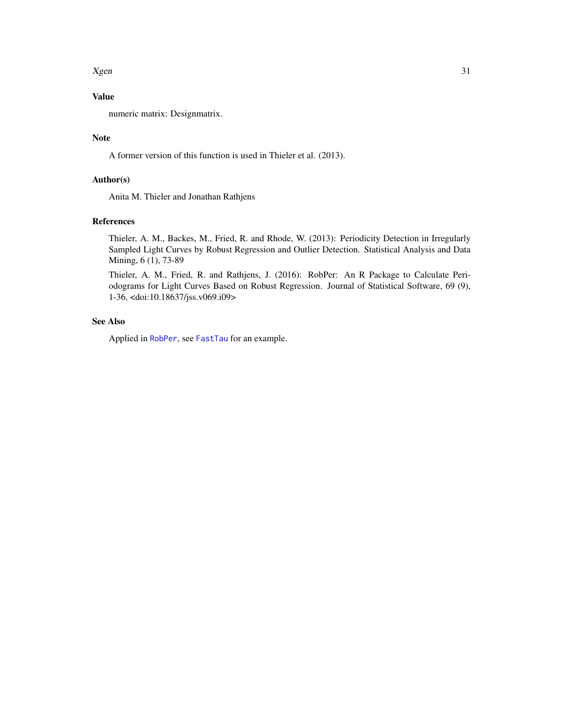<span id="page-30-0"></span> $Xgen$  31

# Value

numeric matrix: Designmatrix.

#### Note

A former version of this function is used in Thieler et al. (2013).

# Author(s)

Anita M. Thieler and Jonathan Rathjens

#### References

Thieler, A. M., Backes, M., Fried, R. and Rhode, W. (2013): Periodicity Detection in Irregularly Sampled Light Curves by Robust Regression and Outlier Detection. Statistical Analysis and Data Mining, 6 (1), 73-89

Thieler, A. M., Fried, R. and Rathjens, J. (2016): RobPer: An R Package to Calculate Periodograms for Light Curves Based on Robust Regression. Journal of Statistical Software, 69 (9), 1-36, <doi:10.18637/jss.v069.i09>

# See Also

Applied in [RobPer](#page-16-1), see [FastTau](#page-8-1) for an example.